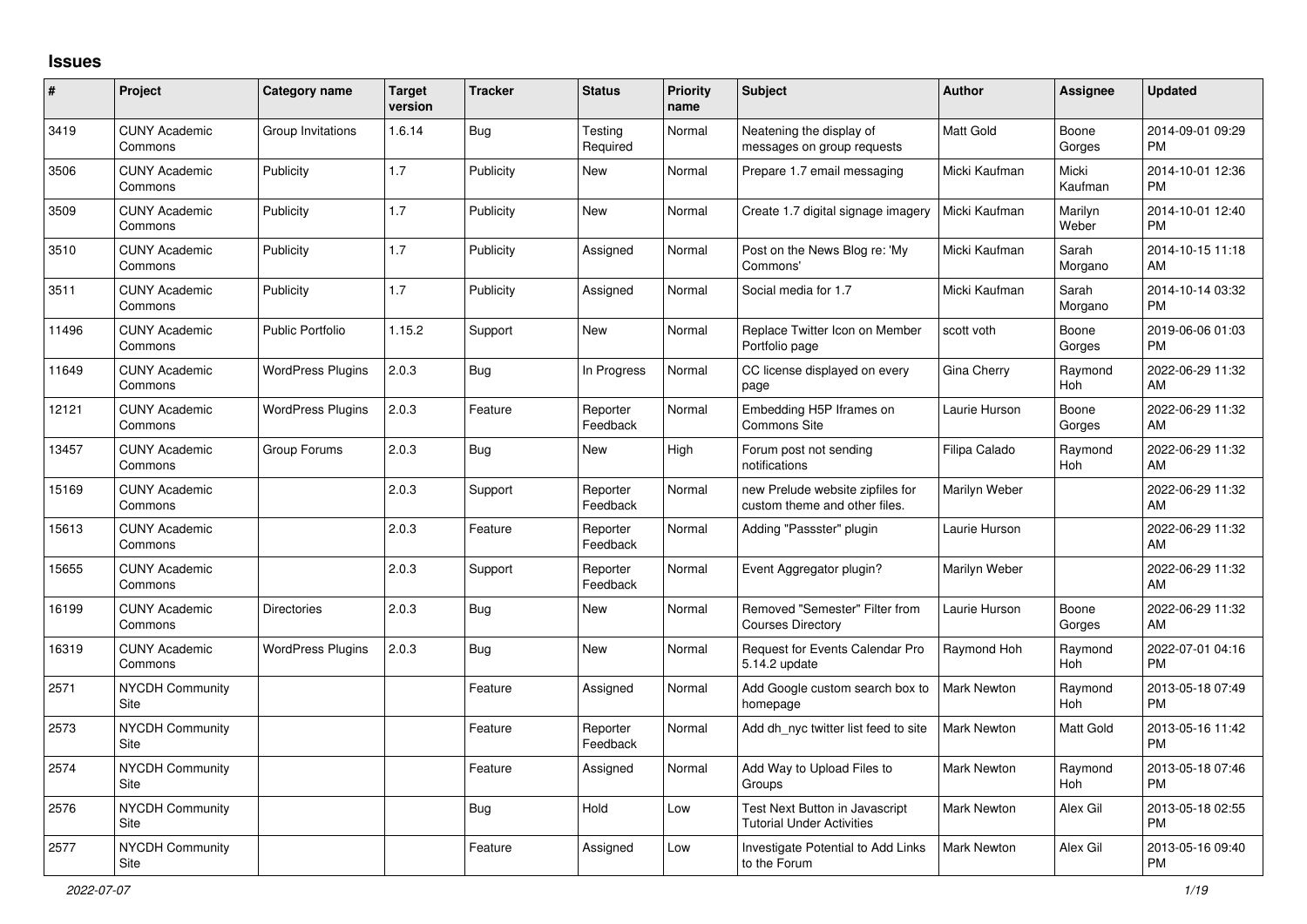## **Issues**

| $\vert$ # | Project                         | <b>Category name</b>     | <b>Target</b><br>version | <b>Tracker</b> | <b>Status</b>        | <b>Priority</b><br>name | <b>Subject</b>                                                            | <b>Author</b>      | <b>Assignee</b>  | <b>Updated</b>                |
|-----------|---------------------------------|--------------------------|--------------------------|----------------|----------------------|-------------------------|---------------------------------------------------------------------------|--------------------|------------------|-------------------------------|
| 3419      | <b>CUNY Academic</b><br>Commons | Group Invitations        | 1.6.14                   | Bug            | Testing<br>Required  | Normal                  | Neatening the display of<br>messages on group requests                    | <b>Matt Gold</b>   | Boone<br>Gorges  | 2014-09-01 09:29<br><b>PM</b> |
| 3506      | <b>CUNY Academic</b><br>Commons | Publicity                | 1.7                      | Publicity      | New                  | Normal                  | Prepare 1.7 email messaging                                               | Micki Kaufman      | Micki<br>Kaufman | 2014-10-01 12:36<br><b>PM</b> |
| 3509      | <b>CUNY Academic</b><br>Commons | Publicity                | 1.7                      | Publicity      | New                  | Normal                  | Create 1.7 digital signage imagery                                        | Micki Kaufman      | Marilyn<br>Weber | 2014-10-01 12:40<br><b>PM</b> |
| 3510      | <b>CUNY Academic</b><br>Commons | Publicity                | 1.7                      | Publicity      | Assigned             | Normal                  | Post on the News Blog re: 'My<br>Commons'                                 | Micki Kaufman      | Sarah<br>Morgano | 2014-10-15 11:18<br>AM        |
| 3511      | <b>CUNY Academic</b><br>Commons | Publicity                | 1.7                      | Publicity      | Assigned             | Normal                  | Social media for 1.7                                                      | Micki Kaufman      | Sarah<br>Morgano | 2014-10-14 03:32<br><b>PM</b> |
| 11496     | <b>CUNY Academic</b><br>Commons | <b>Public Portfolio</b>  | 1.15.2                   | Support        | New                  | Normal                  | Replace Twitter Icon on Member<br>Portfolio page                          | scott voth         | Boone<br>Gorges  | 2019-06-06 01:03<br>PM        |
| 11649     | <b>CUNY Academic</b><br>Commons | <b>WordPress Plugins</b> | 2.0.3                    | <b>Bug</b>     | In Progress          | Normal                  | CC license displayed on every<br>page                                     | <b>Gina Cherry</b> | Raymond<br>Hoh   | 2022-06-29 11:32<br>AM        |
| 12121     | <b>CUNY Academic</b><br>Commons | <b>WordPress Plugins</b> | 2.0.3                    | Feature        | Reporter<br>Feedback | Normal                  | Embedding H5P Iframes on<br><b>Commons Site</b>                           | Laurie Hurson      | Boone<br>Gorges  | 2022-06-29 11:32<br>AM        |
| 13457     | <b>CUNY Academic</b><br>Commons | Group Forums             | 2.0.3                    | <b>Bug</b>     | <b>New</b>           | High                    | Forum post not sending<br>notifications                                   | Filipa Calado      | Raymond<br>Hoh   | 2022-06-29 11:32<br>AM        |
| 15169     | <b>CUNY Academic</b><br>Commons |                          | 2.0.3                    | Support        | Reporter<br>Feedback | Normal                  | new Prelude website zipfiles for<br>custom theme and other files.         | Marilyn Weber      |                  | 2022-06-29 11:32<br>AM        |
| 15613     | <b>CUNY Academic</b><br>Commons |                          | 2.0.3                    | Feature        | Reporter<br>Feedback | Normal                  | Adding "Passster" plugin                                                  | Laurie Hurson      |                  | 2022-06-29 11:32<br>AM        |
| 15655     | <b>CUNY Academic</b><br>Commons |                          | 2.0.3                    | Support        | Reporter<br>Feedback | Normal                  | Event Aggregator plugin?                                                  | Marilyn Weber      |                  | 2022-06-29 11:32<br>AM        |
| 16199     | <b>CUNY Academic</b><br>Commons | <b>Directories</b>       | 2.0.3                    | <b>Bug</b>     | New                  | Normal                  | Removed "Semester" Filter from<br><b>Courses Directory</b>                | Laurie Hurson      | Boone<br>Gorges  | 2022-06-29 11:32<br>AM        |
| 16319     | <b>CUNY Academic</b><br>Commons | <b>WordPress Plugins</b> | 2.0.3                    | Bug            | <b>New</b>           | Normal                  | Request for Events Calendar Pro<br>5.14.2 update                          | Raymond Hoh        | Raymond<br>Hoh   | 2022-07-01 04:16<br><b>PM</b> |
| 2571      | <b>NYCDH Community</b><br>Site  |                          |                          | Feature        | Assigned             | Normal                  | Add Google custom search box to<br>homepage                               | Mark Newton        | Raymond<br>Hoh   | 2013-05-18 07:49<br><b>PM</b> |
| 2573      | <b>NYCDH Community</b><br>Site  |                          |                          | Feature        | Reporter<br>Feedback | Normal                  | Add dh nyc twitter list feed to site                                      | <b>Mark Newton</b> | Matt Gold        | 2013-05-16 11:42<br><b>PM</b> |
| 2574      | NYCDH Community<br>Site         |                          |                          | Feature        | Assigned             | Normal                  | Add Way to Upload Files to<br>Groups                                      | Mark Newton        | Raymond<br>Hoh   | 2013-05-18 07:46<br><b>PM</b> |
| 2576      | <b>NYCDH Community</b><br>Site  |                          |                          | <b>Bug</b>     | Hold                 | Low                     | <b>Test Next Button in Javascript</b><br><b>Tutorial Under Activities</b> | Mark Newton        | Alex Gil         | 2013-05-18 02:55<br><b>PM</b> |
| 2577      | <b>NYCDH Community</b><br>Site  |                          |                          | Feature        | Assigned             | Low                     | Investigate Potential to Add Links<br>to the Forum                        | <b>Mark Newton</b> | Alex Gil         | 2013-05-16 09:40<br><b>PM</b> |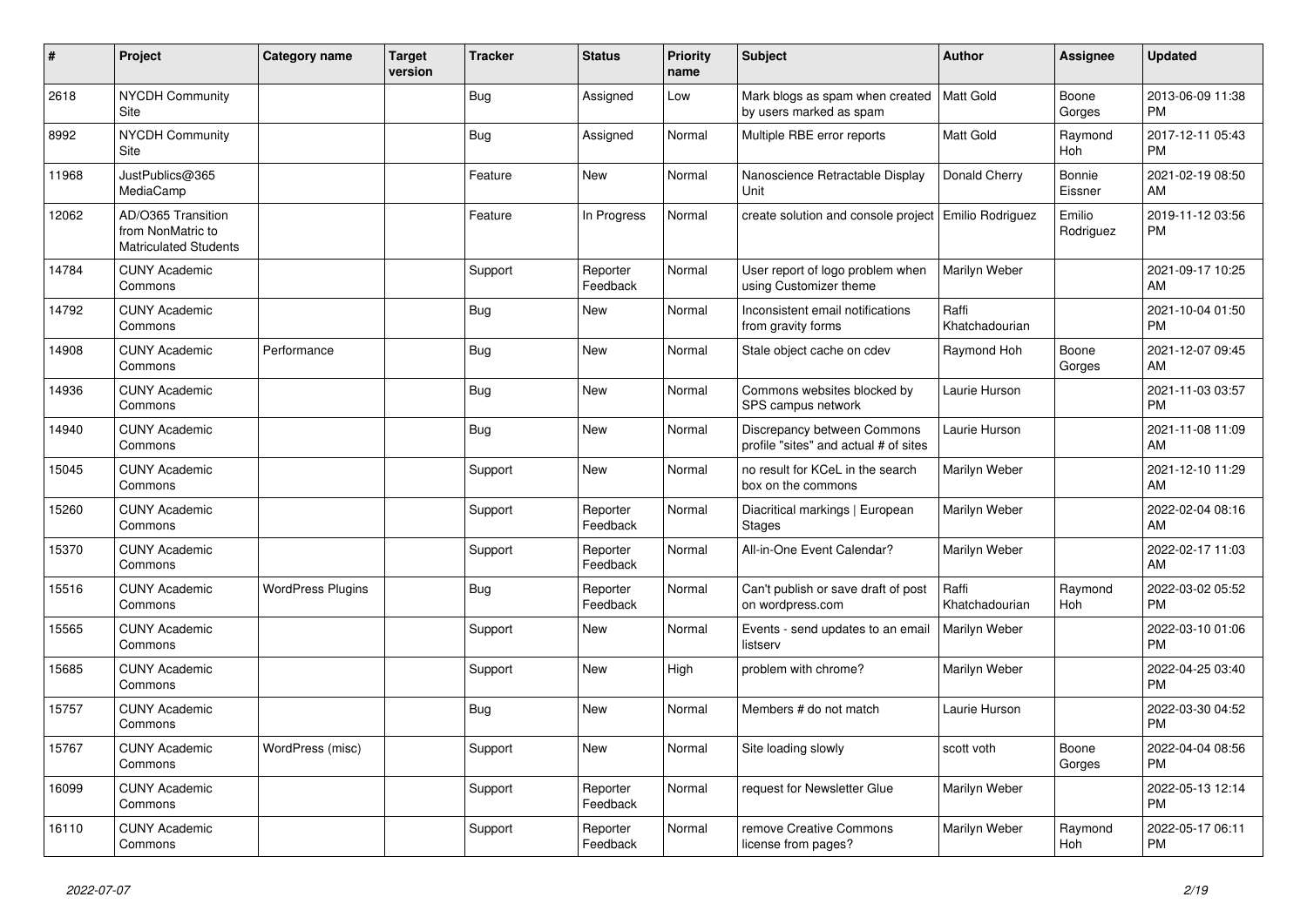| #     | Project                                                                 | <b>Category name</b>     | Target<br>version | <b>Tracker</b> | <b>Status</b>        | <b>Priority</b><br>name | <b>Subject</b>                                                         | <b>Author</b>           | <b>Assignee</b>          | <b>Updated</b>                |
|-------|-------------------------------------------------------------------------|--------------------------|-------------------|----------------|----------------------|-------------------------|------------------------------------------------------------------------|-------------------------|--------------------------|-------------------------------|
| 2618  | <b>NYCDH Community</b><br>Site                                          |                          |                   | <b>Bug</b>     | Assigned             | Low                     | Mark blogs as spam when created   Matt Gold<br>by users marked as spam |                         | Boone<br>Gorges          | 2013-06-09 11:38<br><b>PM</b> |
| 8992  | <b>NYCDH Community</b><br>Site                                          |                          |                   | <b>Bug</b>     | Assigned             | Normal                  | Multiple RBE error reports                                             | <b>Matt Gold</b>        | Raymond<br>Hoh           | 2017-12-11 05:43<br><b>PM</b> |
| 11968 | JustPublics@365<br>MediaCamp                                            |                          |                   | Feature        | <b>New</b>           | Normal                  | Nanoscience Retractable Display<br>Unit                                | Donald Cherry           | <b>Bonnie</b><br>Eissner | 2021-02-19 08:50<br>AM        |
| 12062 | AD/O365 Transition<br>from NonMatric to<br><b>Matriculated Students</b> |                          |                   | Feature        | In Progress          | Normal                  | create solution and console project   Emilio Rodriguez                 |                         | Emilio<br>Rodriguez      | 2019-11-12 03:56<br><b>PM</b> |
| 14784 | <b>CUNY Academic</b><br>Commons                                         |                          |                   | Support        | Reporter<br>Feedback | Normal                  | User report of logo problem when<br>using Customizer theme             | Marilyn Weber           |                          | 2021-09-17 10:25<br>AM        |
| 14792 | <b>CUNY Academic</b><br>Commons                                         |                          |                   | <b>Bug</b>     | <b>New</b>           | Normal                  | Inconsistent email notifications<br>from gravity forms                 | Raffi<br>Khatchadourian |                          | 2021-10-04 01:50<br><b>PM</b> |
| 14908 | <b>CUNY Academic</b><br>Commons                                         | Performance              |                   | Bug            | <b>New</b>           | Normal                  | Stale object cache on cdev                                             | Raymond Hoh             | Boone<br>Gorges          | 2021-12-07 09:45<br>AM        |
| 14936 | <b>CUNY Academic</b><br>Commons                                         |                          |                   | <b>Bug</b>     | New                  | Normal                  | Commons websites blocked by<br>SPS campus network                      | Laurie Hurson           |                          | 2021-11-03 03:57<br><b>PM</b> |
| 14940 | <b>CUNY Academic</b><br>Commons                                         |                          |                   | <b>Bug</b>     | <b>New</b>           | Normal                  | Discrepancy between Commons<br>profile "sites" and actual # of sites   | Laurie Hurson           |                          | 2021-11-08 11:09<br>AM        |
| 15045 | <b>CUNY Academic</b><br>Commons                                         |                          |                   | Support        | <b>New</b>           | Normal                  | no result for KCeL in the search<br>box on the commons                 | Marilyn Weber           |                          | 2021-12-10 11:29<br>AM        |
| 15260 | <b>CUNY Academic</b><br>Commons                                         |                          |                   | Support        | Reporter<br>Feedback | Normal                  | Diacritical markings   European<br><b>Stages</b>                       | Marilyn Weber           |                          | 2022-02-04 08:16<br>AM        |
| 15370 | <b>CUNY Academic</b><br>Commons                                         |                          |                   | Support        | Reporter<br>Feedback | Normal                  | All-in-One Event Calendar?                                             | Marilyn Weber           |                          | 2022-02-17 11:03<br>AM        |
| 15516 | <b>CUNY Academic</b><br>Commons                                         | <b>WordPress Plugins</b> |                   | <b>Bug</b>     | Reporter<br>Feedback | Normal                  | Can't publish or save draft of post<br>on wordpress.com                | Raffi<br>Khatchadourian | Raymond<br>Hoh           | 2022-03-02 05:52<br><b>PM</b> |
| 15565 | <b>CUNY Academic</b><br>Commons                                         |                          |                   | Support        | New                  | Normal                  | Events - send updates to an email<br>listserv                          | Marilyn Weber           |                          | 2022-03-10 01:06<br><b>PM</b> |
| 15685 | <b>CUNY Academic</b><br>Commons                                         |                          |                   | Support        | <b>New</b>           | High                    | problem with chrome?                                                   | Marilyn Weber           |                          | 2022-04-25 03:40<br><b>PM</b> |
| 15757 | <b>CUNY Academic</b><br>Commons                                         |                          |                   | <b>Bug</b>     | <b>New</b>           | Normal                  | Members # do not match                                                 | Laurie Hurson           |                          | 2022-03-30 04:52<br><b>PM</b> |
| 15767 | <b>CUNY Academic</b><br>Commons                                         | WordPress (misc)         |                   | Support        | New                  | Normal                  | Site loading slowly                                                    | scott voth              | Boone<br>Gorges          | 2022-04-04 08:56<br><b>PM</b> |
| 16099 | <b>CUNY Academic</b><br>Commons                                         |                          |                   | Support        | Reporter<br>Feedback | Normal                  | request for Newsletter Glue                                            | Marilyn Weber           |                          | 2022-05-13 12:14<br><b>PM</b> |
| 16110 | <b>CUNY Academic</b><br>Commons                                         |                          |                   | Support        | Reporter<br>Feedback | Normal                  | remove Creative Commons<br>license from pages?                         | Marilyn Weber           | Raymond<br>Hoh           | 2022-05-17 06:11<br><b>PM</b> |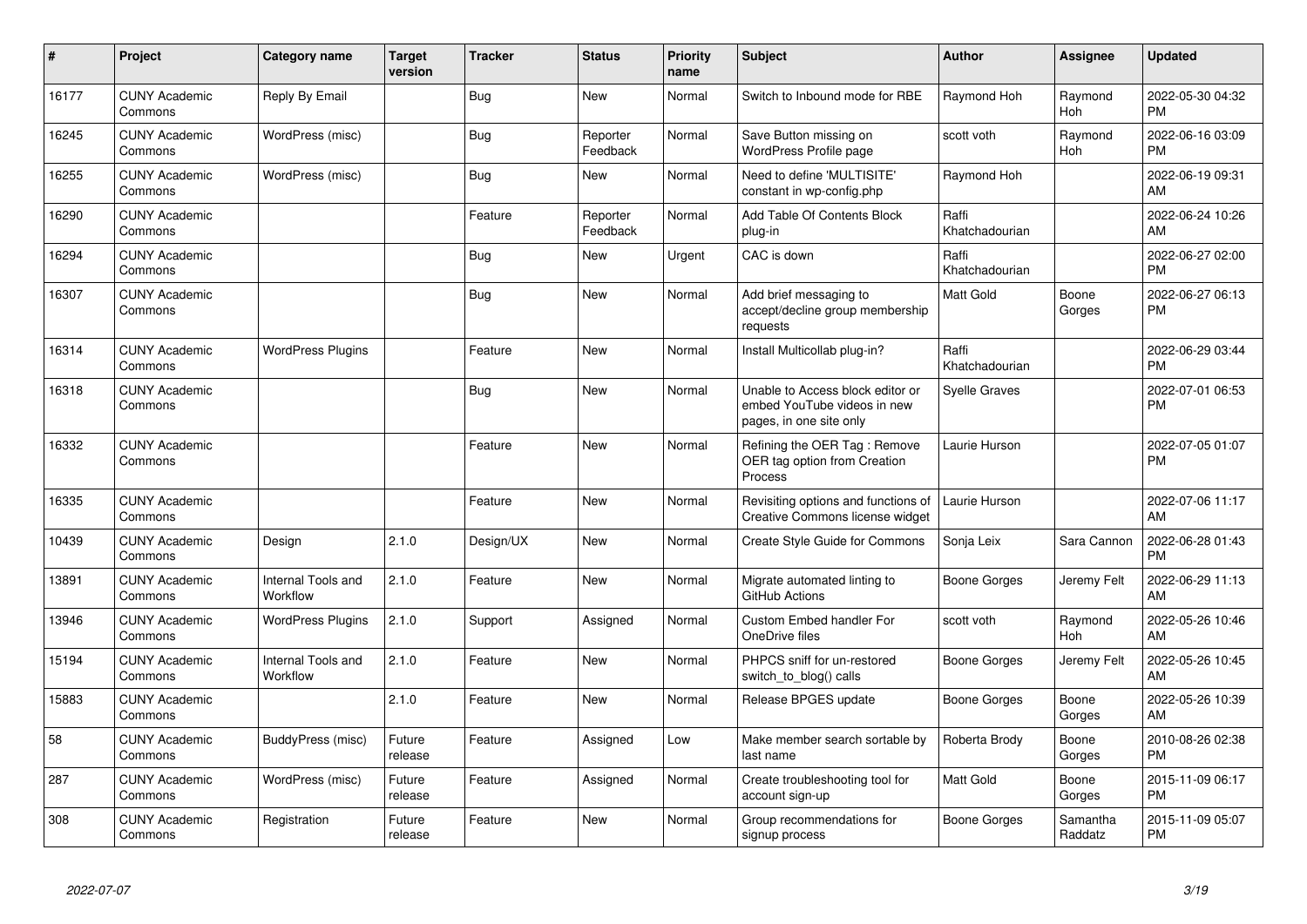| #     | Project                         | Category name                  | <b>Target</b><br>version | <b>Tracker</b> | <b>Status</b>        | <b>Priority</b><br>name | <b>Subject</b>                                                                             | <b>Author</b>           | Assignee            | <b>Updated</b>                |
|-------|---------------------------------|--------------------------------|--------------------------|----------------|----------------------|-------------------------|--------------------------------------------------------------------------------------------|-------------------------|---------------------|-------------------------------|
| 16177 | <b>CUNY Academic</b><br>Commons | Reply By Email                 |                          | <b>Bug</b>     | <b>New</b>           | Normal                  | Switch to Inbound mode for RBE                                                             | Raymond Hoh             | Raymond<br>Hoh      | 2022-05-30 04:32<br><b>PM</b> |
| 16245 | <b>CUNY Academic</b><br>Commons | WordPress (misc)               |                          | Bug            | Reporter<br>Feedback | Normal                  | Save Button missing on<br><b>WordPress Profile page</b>                                    | scott voth              | Raymond<br>Hoh      | 2022-06-16 03:09<br><b>PM</b> |
| 16255 | <b>CUNY Academic</b><br>Commons | WordPress (misc)               |                          | Bug            | New                  | Normal                  | Need to define 'MULTISITE'<br>constant in wp-config.php                                    | Raymond Hoh             |                     | 2022-06-19 09:31<br>AM        |
| 16290 | <b>CUNY Academic</b><br>Commons |                                |                          | Feature        | Reporter<br>Feedback | Normal                  | Add Table Of Contents Block<br>plug-in                                                     | Raffi<br>Khatchadourian |                     | 2022-06-24 10:26<br>AM        |
| 16294 | <b>CUNY Academic</b><br>Commons |                                |                          | Bug            | <b>New</b>           | Urgent                  | CAC is down                                                                                | Raffi<br>Khatchadourian |                     | 2022-06-27 02:00<br><b>PM</b> |
| 16307 | <b>CUNY Academic</b><br>Commons |                                |                          | <b>Bug</b>     | <b>New</b>           | Normal                  | Add brief messaging to<br>accept/decline group membership<br>requests                      | Matt Gold               | Boone<br>Gorges     | 2022-06-27 06:13<br><b>PM</b> |
| 16314 | <b>CUNY Academic</b><br>Commons | <b>WordPress Plugins</b>       |                          | Feature        | New                  | Normal                  | Install Multicollab plug-in?                                                               | Raffi<br>Khatchadourian |                     | 2022-06-29 03:44<br><b>PM</b> |
| 16318 | <b>CUNY Academic</b><br>Commons |                                |                          | <b>Bug</b>     | New                  | Normal                  | Unable to Access block editor or<br>embed YouTube videos in new<br>pages, in one site only | <b>Syelle Graves</b>    |                     | 2022-07-01 06:53<br><b>PM</b> |
| 16332 | <b>CUNY Academic</b><br>Commons |                                |                          | Feature        | <b>New</b>           | Normal                  | Refining the OER Tag: Remove<br>OER tag option from Creation<br>Process                    | Laurie Hurson           |                     | 2022-07-05 01:07<br><b>PM</b> |
| 16335 | <b>CUNY Academic</b><br>Commons |                                |                          | Feature        | <b>New</b>           | Normal                  | Revisiting options and functions of<br>Creative Commons license widget                     | Laurie Hurson           |                     | 2022-07-06 11:17<br>AM        |
| 10439 | <b>CUNY Academic</b><br>Commons | Design                         | 2.1.0                    | Design/UX      | New                  | Normal                  | Create Style Guide for Commons                                                             | Sonja Leix              | Sara Cannon         | 2022-06-28 01:43<br><b>PM</b> |
| 13891 | <b>CUNY Academic</b><br>Commons | Internal Tools and<br>Workflow | 2.1.0                    | Feature        | New                  | Normal                  | Migrate automated linting to<br>GitHub Actions                                             | Boone Gorges            | Jeremy Felt         | 2022-06-29 11:13<br>AM        |
| 13946 | <b>CUNY Academic</b><br>Commons | <b>WordPress Plugins</b>       | 2.1.0                    | Support        | Assigned             | Normal                  | Custom Embed handler For<br>OneDrive files                                                 | scott voth              | Raymond<br>Hoh      | 2022-05-26 10:46<br>AM        |
| 15194 | <b>CUNY Academic</b><br>Commons | Internal Tools and<br>Workflow | 2.1.0                    | Feature        | <b>New</b>           | Normal                  | PHPCS sniff for un-restored<br>switch to blog() calls                                      | Boone Gorges            | Jeremy Felt         | 2022-05-26 10:45<br>AM        |
| 15883 | <b>CUNY Academic</b><br>Commons |                                | 2.1.0                    | Feature        | <b>New</b>           | Normal                  | Release BPGES update                                                                       | Boone Gorges            | Boone<br>Gorges     | 2022-05-26 10:39<br>AM        |
| 58    | <b>CUNY Academic</b><br>Commons | BuddyPress (misc)              | Future<br>release        | Feature        | Assigned             | Low                     | Make member search sortable by<br>last name                                                | Roberta Brody           | Boone<br>Gorges     | 2010-08-26 02:38<br><b>PM</b> |
| 287   | <b>CUNY Academic</b><br>Commons | WordPress (misc)               | Future<br>release        | Feature        | Assigned             | Normal                  | Create troubleshooting tool for<br>account sign-up                                         | Matt Gold               | Boone<br>Gorges     | 2015-11-09 06:17<br>PM        |
| 308   | <b>CUNY Academic</b><br>Commons | Registration                   | Future<br>release        | Feature        | New                  | Normal                  | Group recommendations for<br>signup process                                                | Boone Gorges            | Samantha<br>Raddatz | 2015-11-09 05:07<br><b>PM</b> |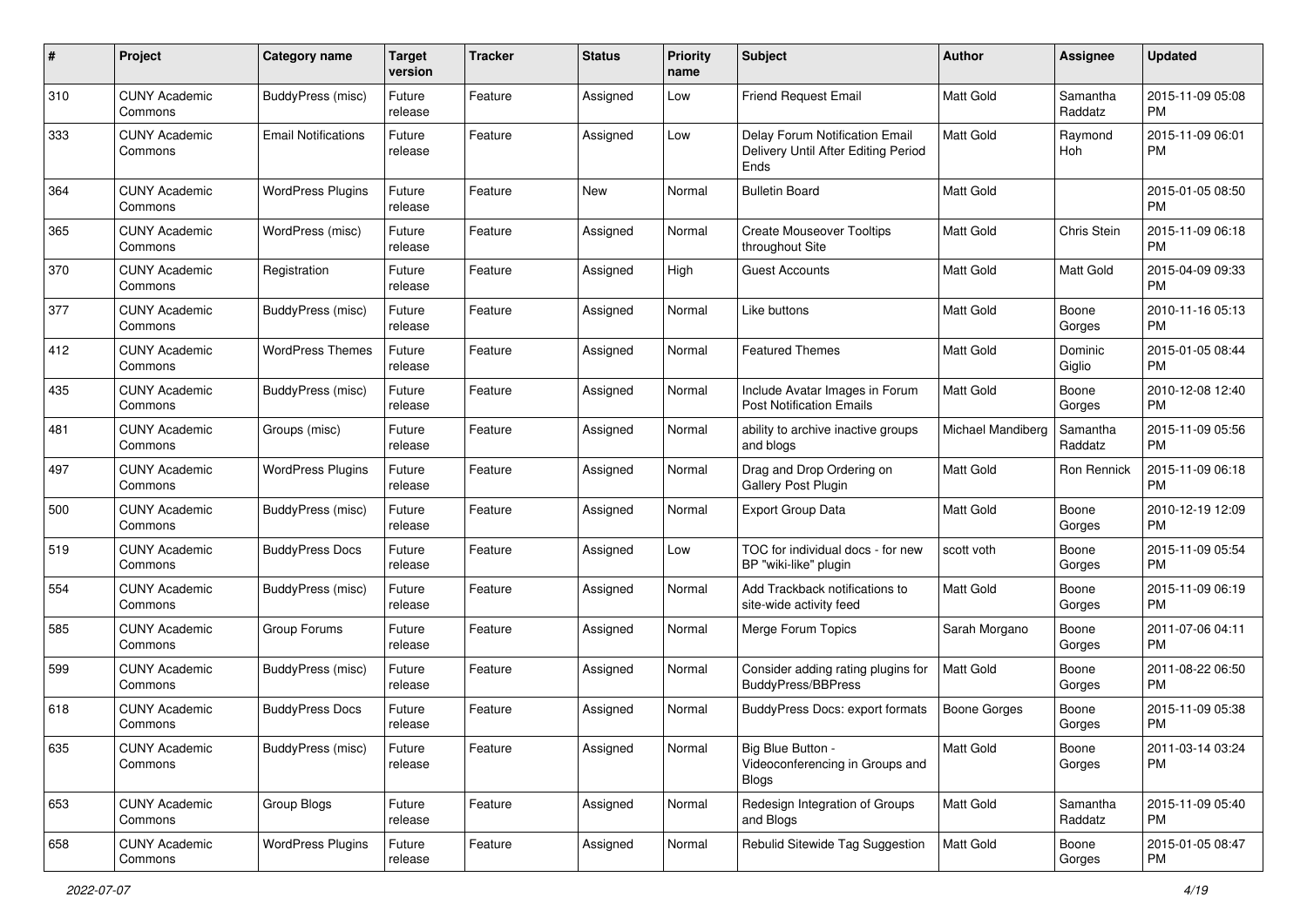| #   | Project                         | <b>Category name</b>       | <b>Target</b><br>version | <b>Tracker</b> | <b>Status</b> | <b>Priority</b><br>name | <b>Subject</b>                                                                | Author              | <b>Assignee</b>     | <b>Updated</b>                |
|-----|---------------------------------|----------------------------|--------------------------|----------------|---------------|-------------------------|-------------------------------------------------------------------------------|---------------------|---------------------|-------------------------------|
| 310 | <b>CUNY Academic</b><br>Commons | BuddyPress (misc)          | Future<br>release        | Feature        | Assigned      | Low                     | <b>Friend Request Email</b>                                                   | <b>Matt Gold</b>    | Samantha<br>Raddatz | 2015-11-09 05:08<br><b>PM</b> |
| 333 | <b>CUNY Academic</b><br>Commons | <b>Email Notifications</b> | Future<br>release        | Feature        | Assigned      | Low                     | Delay Forum Notification Email<br>Delivery Until After Editing Period<br>Ends | <b>Matt Gold</b>    | Raymond<br>Hoh      | 2015-11-09 06:01<br><b>PM</b> |
| 364 | <b>CUNY Academic</b><br>Commons | <b>WordPress Plugins</b>   | Future<br>release        | Feature        | New           | Normal                  | <b>Bulletin Board</b>                                                         | <b>Matt Gold</b>    |                     | 2015-01-05 08:50<br><b>PM</b> |
| 365 | <b>CUNY Academic</b><br>Commons | WordPress (misc)           | Future<br>release        | Feature        | Assigned      | Normal                  | <b>Create Mouseover Tooltips</b><br>throughout Site                           | Matt Gold           | Chris Stein         | 2015-11-09 06:18<br><b>PM</b> |
| 370 | <b>CUNY Academic</b><br>Commons | Registration               | Future<br>release        | Feature        | Assigned      | High                    | <b>Guest Accounts</b>                                                         | <b>Matt Gold</b>    | Matt Gold           | 2015-04-09 09:33<br><b>PM</b> |
| 377 | <b>CUNY Academic</b><br>Commons | BuddyPress (misc)          | Future<br>release        | Feature        | Assigned      | Normal                  | Like buttons                                                                  | <b>Matt Gold</b>    | Boone<br>Gorges     | 2010-11-16 05:13<br><b>PM</b> |
| 412 | <b>CUNY Academic</b><br>Commons | <b>WordPress Themes</b>    | Future<br>release        | Feature        | Assigned      | Normal                  | <b>Featured Themes</b>                                                        | Matt Gold           | Dominic<br>Giglio   | 2015-01-05 08:44<br><b>PM</b> |
| 435 | <b>CUNY Academic</b><br>Commons | BuddyPress (misc)          | Future<br>release        | Feature        | Assigned      | Normal                  | Include Avatar Images in Forum<br><b>Post Notification Emails</b>             | <b>Matt Gold</b>    | Boone<br>Gorges     | 2010-12-08 12:40<br><b>PM</b> |
| 481 | <b>CUNY Academic</b><br>Commons | Groups (misc)              | Future<br>release        | Feature        | Assigned      | Normal                  | ability to archive inactive groups<br>and blogs                               | Michael Mandiberg   | Samantha<br>Raddatz | 2015-11-09 05:56<br><b>PM</b> |
| 497 | <b>CUNY Academic</b><br>Commons | <b>WordPress Plugins</b>   | Future<br>release        | Feature        | Assigned      | Normal                  | Drag and Drop Ordering on<br><b>Gallery Post Plugin</b>                       | <b>Matt Gold</b>    | Ron Rennick         | 2015-11-09 06:18<br><b>PM</b> |
| 500 | <b>CUNY Academic</b><br>Commons | BuddyPress (misc)          | Future<br>release        | Feature        | Assigned      | Normal                  | <b>Export Group Data</b>                                                      | Matt Gold           | Boone<br>Gorges     | 2010-12-19 12:09<br><b>PM</b> |
| 519 | <b>CUNY Academic</b><br>Commons | <b>BuddyPress Docs</b>     | Future<br>release        | Feature        | Assigned      | Low                     | TOC for individual docs - for new<br>BP "wiki-like" plugin                    | scott voth          | Boone<br>Gorges     | 2015-11-09 05:54<br><b>PM</b> |
| 554 | <b>CUNY Academic</b><br>Commons | BuddyPress (misc)          | Future<br>release        | Feature        | Assigned      | Normal                  | Add Trackback notifications to<br>site-wide activity feed                     | <b>Matt Gold</b>    | Boone<br>Gorges     | 2015-11-09 06:19<br><b>PM</b> |
| 585 | <b>CUNY Academic</b><br>Commons | Group Forums               | Future<br>release        | Feature        | Assigned      | Normal                  | Merge Forum Topics                                                            | Sarah Morgano       | Boone<br>Gorges     | 2011-07-06 04:11<br><b>PM</b> |
| 599 | <b>CUNY Academic</b><br>Commons | BuddyPress (misc)          | Future<br>release        | Feature        | Assigned      | Normal                  | Consider adding rating plugins for<br><b>BuddyPress/BBPress</b>               | <b>Matt Gold</b>    | Boone<br>Gorges     | 2011-08-22 06:50<br><b>PM</b> |
| 618 | <b>CUNY Academic</b><br>Commons | <b>BuddyPress Docs</b>     | Future<br>release        | Feature        | Assigned      | Normal                  | BuddyPress Docs: export formats                                               | <b>Boone Gorges</b> | Boone<br>Gorges     | 2015-11-09 05:38<br><b>PM</b> |
| 635 | <b>CUNY Academic</b><br>Commons | BuddyPress (misc)          | Future<br>release        | Feature        | Assigned      | Normal                  | Big Blue Button -<br>Videoconferencing in Groups and<br><b>Blogs</b>          | Matt Gold           | Boone<br>Gorges     | 2011-03-14 03:24<br><b>PM</b> |
| 653 | <b>CUNY Academic</b><br>Commons | Group Blogs                | Future<br>release        | Feature        | Assigned      | Normal                  | Redesign Integration of Groups<br>and Blogs                                   | Matt Gold           | Samantha<br>Raddatz | 2015-11-09 05:40<br><b>PM</b> |
| 658 | <b>CUNY Academic</b><br>Commons | <b>WordPress Plugins</b>   | Future<br>release        | Feature        | Assigned      | Normal                  | Rebulid Sitewide Tag Suggestion                                               | Matt Gold           | Boone<br>Gorges     | 2015-01-05 08:47<br><b>PM</b> |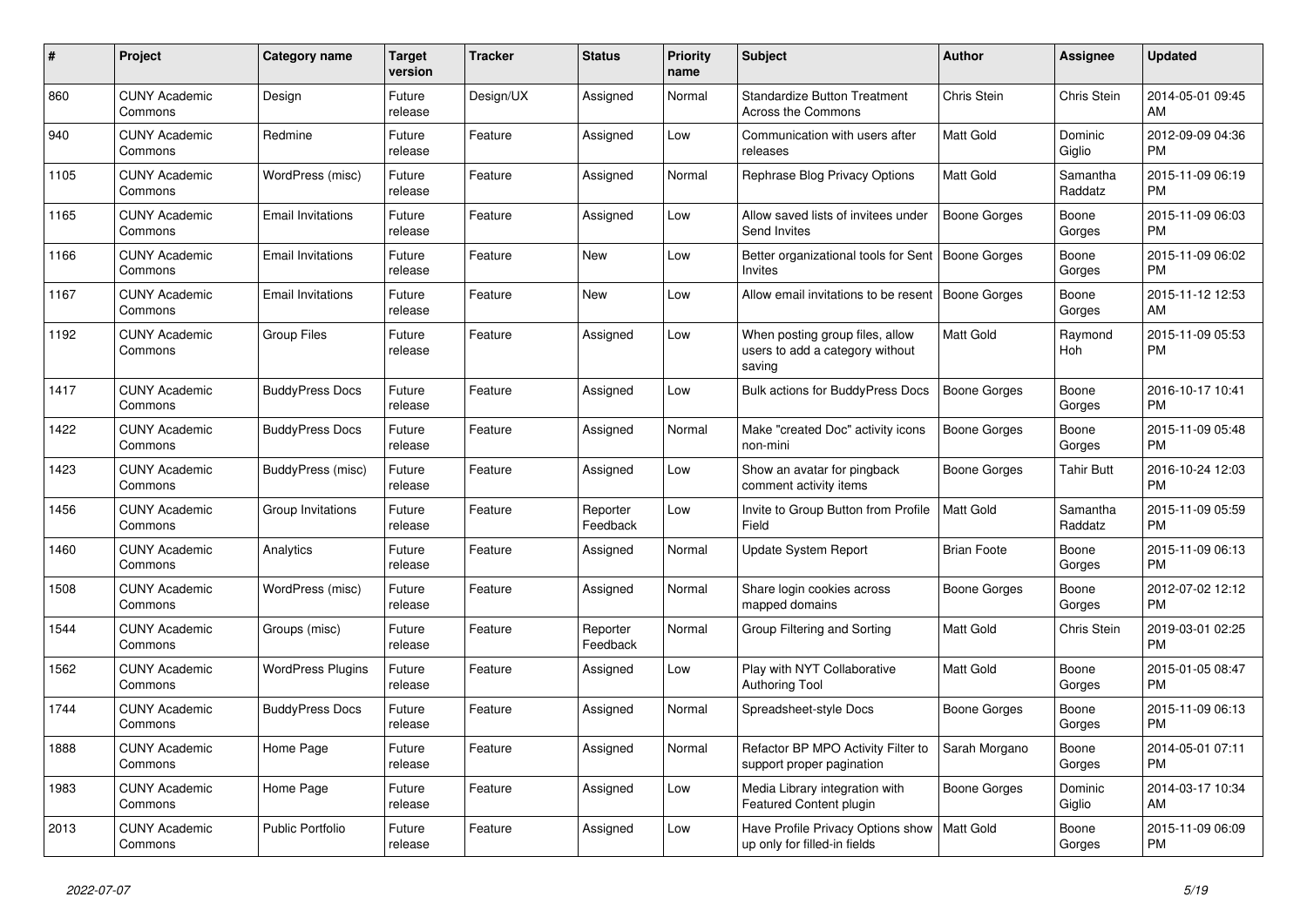| #    | <b>Project</b>                  | <b>Category name</b>     | <b>Target</b><br>version | <b>Tracker</b> | <b>Status</b>        | <b>Priority</b><br>name | <b>Subject</b>                                                                | <b>Author</b>       | Assignee            | <b>Updated</b>                |
|------|---------------------------------|--------------------------|--------------------------|----------------|----------------------|-------------------------|-------------------------------------------------------------------------------|---------------------|---------------------|-------------------------------|
| 860  | <b>CUNY Academic</b><br>Commons | Design                   | Future<br>release        | Design/UX      | Assigned             | Normal                  | <b>Standardize Button Treatment</b><br>Across the Commons                     | Chris Stein         | Chris Stein         | 2014-05-01 09:45<br>AM        |
| 940  | <b>CUNY Academic</b><br>Commons | Redmine                  | Future<br>release        | Feature        | Assigned             | Low                     | Communication with users after<br>releases                                    | <b>Matt Gold</b>    | Dominic<br>Giglio   | 2012-09-09 04:36<br><b>PM</b> |
| 1105 | <b>CUNY Academic</b><br>Commons | WordPress (misc)         | Future<br>release        | Feature        | Assigned             | Normal                  | Rephrase Blog Privacy Options                                                 | <b>Matt Gold</b>    | Samantha<br>Raddatz | 2015-11-09 06:19<br><b>PM</b> |
| 1165 | <b>CUNY Academic</b><br>Commons | <b>Email Invitations</b> | Future<br>release        | Feature        | Assigned             | Low                     | Allow saved lists of invitees under<br>Send Invites                           | Boone Gorges        | Boone<br>Gorges     | 2015-11-09 06:03<br><b>PM</b> |
| 1166 | <b>CUNY Academic</b><br>Commons | <b>Email Invitations</b> | Future<br>release        | Feature        | New                  | Low                     | Better organizational tools for Sent   Boone Gorges<br>Invites                |                     | Boone<br>Gorges     | 2015-11-09 06:02<br><b>PM</b> |
| 1167 | <b>CUNY Academic</b><br>Commons | <b>Email Invitations</b> | Future<br>release        | Feature        | New                  | Low                     | Allow email invitations to be resent   Boone Gorges                           |                     | Boone<br>Gorges     | 2015-11-12 12:53<br>AM        |
| 1192 | <b>CUNY Academic</b><br>Commons | <b>Group Files</b>       | Future<br>release        | Feature        | Assigned             | Low                     | When posting group files, allow<br>users to add a category without<br>saving  | <b>Matt Gold</b>    | Raymond<br>Hoh      | 2015-11-09 05:53<br><b>PM</b> |
| 1417 | <b>CUNY Academic</b><br>Commons | <b>BuddyPress Docs</b>   | Future<br>release        | Feature        | Assigned             | Low                     | <b>Bulk actions for BuddyPress Docs</b>                                       | <b>Boone Gorges</b> | Boone<br>Gorges     | 2016-10-17 10:41<br><b>PM</b> |
| 1422 | <b>CUNY Academic</b><br>Commons | <b>BuddyPress Docs</b>   | Future<br>release        | Feature        | Assigned             | Normal                  | Make "created Doc" activity icons<br>non-mini                                 | Boone Gorges        | Boone<br>Gorges     | 2015-11-09 05:48<br><b>PM</b> |
| 1423 | <b>CUNY Academic</b><br>Commons | <b>BuddyPress</b> (misc) | Future<br>release        | Feature        | Assigned             | Low                     | Show an avatar for pingback<br>comment activity items                         | Boone Gorges        | <b>Tahir Butt</b>   | 2016-10-24 12:03<br><b>PM</b> |
| 1456 | <b>CUNY Academic</b><br>Commons | Group Invitations        | Future<br>release        | Feature        | Reporter<br>Feedback | Low                     | Invite to Group Button from Profile<br>Field                                  | Matt Gold           | Samantha<br>Raddatz | 2015-11-09 05:59<br><b>PM</b> |
| 1460 | <b>CUNY Academic</b><br>Commons | Analytics                | Future<br>release        | Feature        | Assigned             | Normal                  | <b>Update System Report</b>                                                   | <b>Brian Foote</b>  | Boone<br>Gorges     | 2015-11-09 06:13<br><b>PM</b> |
| 1508 | <b>CUNY Academic</b><br>Commons | WordPress (misc)         | Future<br>release        | Feature        | Assigned             | Normal                  | Share login cookies across<br>mapped domains                                  | Boone Gorges        | Boone<br>Gorges     | 2012-07-02 12:12<br><b>PM</b> |
| 1544 | <b>CUNY Academic</b><br>Commons | Groups (misc)            | Future<br>release        | Feature        | Reporter<br>Feedback | Normal                  | Group Filtering and Sorting                                                   | <b>Matt Gold</b>    | Chris Stein         | 2019-03-01 02:25<br><b>PM</b> |
| 1562 | <b>CUNY Academic</b><br>Commons | <b>WordPress Plugins</b> | Future<br>release        | Feature        | Assigned             | Low                     | Play with NYT Collaborative<br><b>Authoring Tool</b>                          | <b>Matt Gold</b>    | Boone<br>Gorges     | 2015-01-05 08:47<br><b>PM</b> |
| 1744 | <b>CUNY Academic</b><br>Commons | <b>BuddyPress Docs</b>   | Future<br>release        | Feature        | Assigned             | Normal                  | Spreadsheet-style Docs                                                        | Boone Gorges        | Boone<br>Gorges     | 2015-11-09 06:13<br><b>PM</b> |
| 1888 | <b>CUNY Academic</b><br>Commons | Home Page                | Future<br>release        | Feature        | Assigned             | Normal                  | Refactor BP MPO Activity Filter to<br>support proper pagination               | Sarah Morgano       | Boone<br>Gorges     | 2014-05-01 07:11<br><b>PM</b> |
| 1983 | <b>CUNY Academic</b><br>Commons | Home Page                | Future<br>release        | Feature        | Assigned             | Low                     | Media Library integration with<br>Featured Content plugin                     | Boone Gorges        | Dominic<br>Giglio   | 2014-03-17 10:34<br>AM        |
| 2013 | <b>CUNY Academic</b><br>Commons | Public Portfolio         | Future<br>release        | Feature        | Assigned             | Low                     | Have Profile Privacy Options show   Matt Gold<br>up only for filled-in fields |                     | Boone<br>Gorges     | 2015-11-09 06:09<br><b>PM</b> |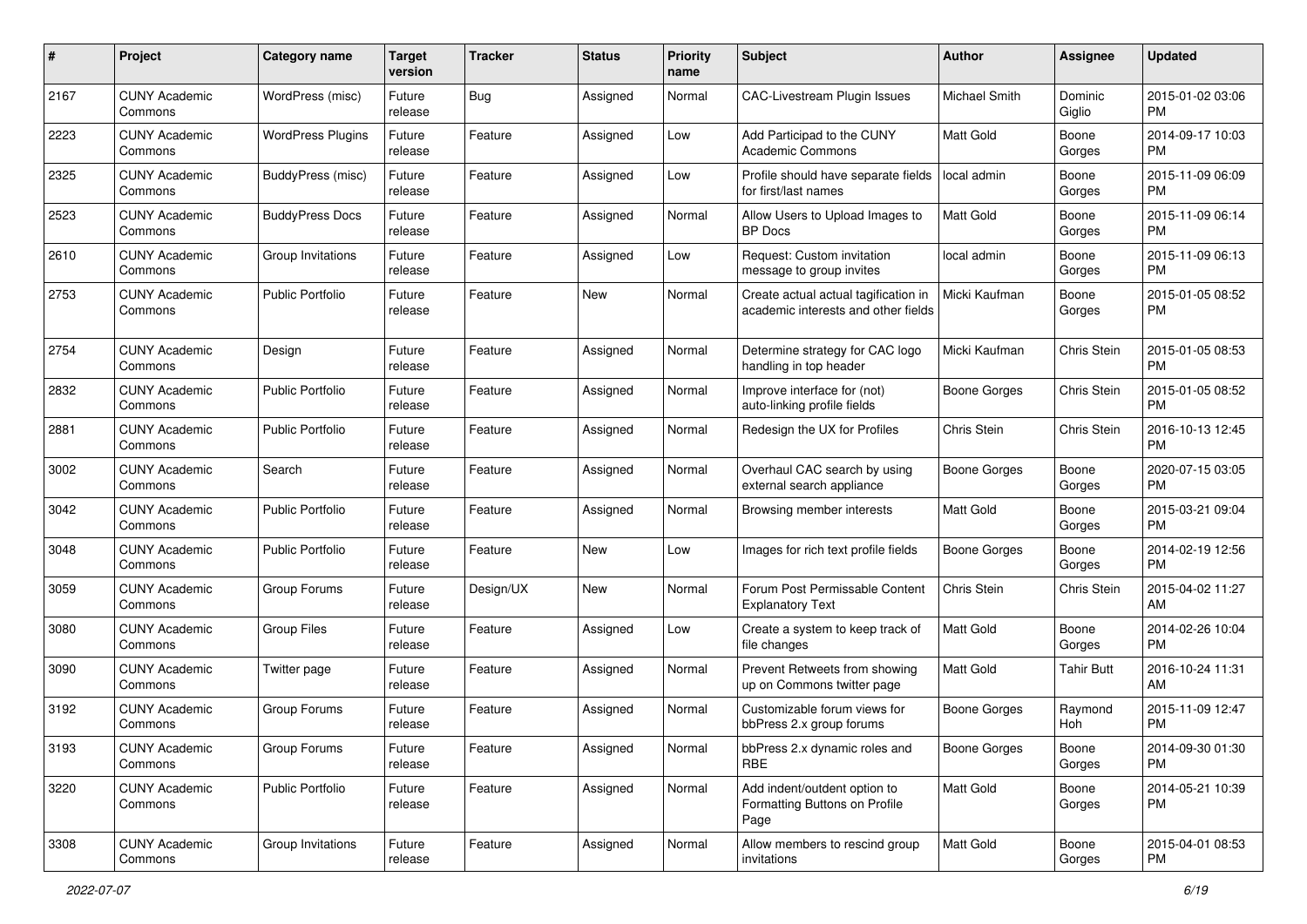| #    | Project                         | <b>Category name</b>     | <b>Target</b><br>version | <b>Tracker</b> | <b>Status</b> | <b>Priority</b><br>name | <b>Subject</b>                                                              | Author              | <b>Assignee</b>   | <b>Updated</b>                |
|------|---------------------------------|--------------------------|--------------------------|----------------|---------------|-------------------------|-----------------------------------------------------------------------------|---------------------|-------------------|-------------------------------|
| 2167 | <b>CUNY Academic</b><br>Commons | WordPress (misc)         | Future<br>release        | <b>Bug</b>     | Assigned      | Normal                  | <b>CAC-Livestream Plugin Issues</b>                                         | Michael Smith       | Dominic<br>Giglio | 2015-01-02 03:06<br><b>PM</b> |
| 2223 | <b>CUNY Academic</b><br>Commons | <b>WordPress Plugins</b> | Future<br>release        | Feature        | Assigned      | Low                     | Add Participad to the CUNY<br><b>Academic Commons</b>                       | <b>Matt Gold</b>    | Boone<br>Gorges   | 2014-09-17 10:03<br><b>PM</b> |
| 2325 | <b>CUNY Academic</b><br>Commons | BuddyPress (misc)        | Future<br>release        | Feature        | Assigned      | Low                     | Profile should have separate fields<br>for first/last names                 | local admin         | Boone<br>Gorges   | 2015-11-09 06:09<br><b>PM</b> |
| 2523 | <b>CUNY Academic</b><br>Commons | <b>BuddyPress Docs</b>   | Future<br>release        | Feature        | Assigned      | Normal                  | Allow Users to Upload Images to<br><b>BP</b> Docs                           | Matt Gold           | Boone<br>Gorges   | 2015-11-09 06:14<br><b>PM</b> |
| 2610 | <b>CUNY Academic</b><br>Commons | Group Invitations        | Future<br>release        | Feature        | Assigned      | Low                     | Request: Custom invitation<br>message to group invites                      | local admin         | Boone<br>Gorges   | 2015-11-09 06:13<br><b>PM</b> |
| 2753 | <b>CUNY Academic</b><br>Commons | <b>Public Portfolio</b>  | Future<br>release        | Feature        | New           | Normal                  | Create actual actual tagification in<br>academic interests and other fields | Micki Kaufman       | Boone<br>Gorges   | 2015-01-05 08:52<br><b>PM</b> |
| 2754 | <b>CUNY Academic</b><br>Commons | Design                   | Future<br>release        | Feature        | Assigned      | Normal                  | Determine strategy for CAC logo<br>handling in top header                   | Micki Kaufman       | Chris Stein       | 2015-01-05 08:53<br><b>PM</b> |
| 2832 | <b>CUNY Academic</b><br>Commons | <b>Public Portfolio</b>  | Future<br>release        | Feature        | Assigned      | Normal                  | Improve interface for (not)<br>auto-linking profile fields                  | <b>Boone Gorges</b> | Chris Stein       | 2015-01-05 08:52<br><b>PM</b> |
| 2881 | <b>CUNY Academic</b><br>Commons | <b>Public Portfolio</b>  | Future<br>release        | Feature        | Assigned      | Normal                  | Redesign the UX for Profiles                                                | Chris Stein         | Chris Stein       | 2016-10-13 12:45<br><b>PM</b> |
| 3002 | <b>CUNY Academic</b><br>Commons | Search                   | Future<br>release        | Feature        | Assigned      | Normal                  | Overhaul CAC search by using<br>external search appliance                   | <b>Boone Gorges</b> | Boone<br>Gorges   | 2020-07-15 03:05<br><b>PM</b> |
| 3042 | <b>CUNY Academic</b><br>Commons | <b>Public Portfolio</b>  | Future<br>release        | Feature        | Assigned      | Normal                  | Browsing member interests                                                   | Matt Gold           | Boone<br>Gorges   | 2015-03-21 09:04<br><b>PM</b> |
| 3048 | <b>CUNY Academic</b><br>Commons | Public Portfolio         | Future<br>release        | Feature        | New           | Low                     | Images for rich text profile fields                                         | <b>Boone Gorges</b> | Boone<br>Gorges   | 2014-02-19 12:56<br><b>PM</b> |
| 3059 | <b>CUNY Academic</b><br>Commons | Group Forums             | Future<br>release        | Design/UX      | <b>New</b>    | Normal                  | Forum Post Permissable Content<br><b>Explanatory Text</b>                   | Chris Stein         | Chris Stein       | 2015-04-02 11:27<br>AM        |
| 3080 | <b>CUNY Academic</b><br>Commons | <b>Group Files</b>       | Future<br>release        | Feature        | Assigned      | Low                     | Create a system to keep track of<br>file changes                            | <b>Matt Gold</b>    | Boone<br>Gorges   | 2014-02-26 10:04<br><b>PM</b> |
| 3090 | <b>CUNY Academic</b><br>Commons | Twitter page             | Future<br>release        | Feature        | Assigned      | Normal                  | Prevent Retweets from showing<br>up on Commons twitter page                 | Matt Gold           | <b>Tahir Butt</b> | 2016-10-24 11:31<br>AM        |
| 3192 | <b>CUNY Academic</b><br>Commons | Group Forums             | Future<br>release        | Feature        | Assigned      | Normal                  | Customizable forum views for<br>bbPress 2.x group forums                    | <b>Boone Gorges</b> | Raymond<br>Hoh    | 2015-11-09 12:47<br><b>PM</b> |
| 3193 | <b>CUNY Academic</b><br>Commons | Group Forums             | Future<br>release        | Feature        | Assigned      | Normal                  | bbPress 2.x dynamic roles and<br><b>RBE</b>                                 | <b>Boone Gorges</b> | Boone<br>Gorges   | 2014-09-30 01:30<br>PM        |
| 3220 | <b>CUNY Academic</b><br>Commons | Public Portfolio         | Future<br>release        | Feature        | Assigned      | Normal                  | Add indent/outdent option to<br>Formatting Buttons on Profile<br>Page       | Matt Gold           | Boone<br>Gorges   | 2014-05-21 10:39<br><b>PM</b> |
| 3308 | <b>CUNY Academic</b><br>Commons | Group Invitations        | Future<br>release        | Feature        | Assigned      | Normal                  | Allow members to rescind group<br>invitations                               | Matt Gold           | Boone<br>Gorges   | 2015-04-01 08:53<br><b>PM</b> |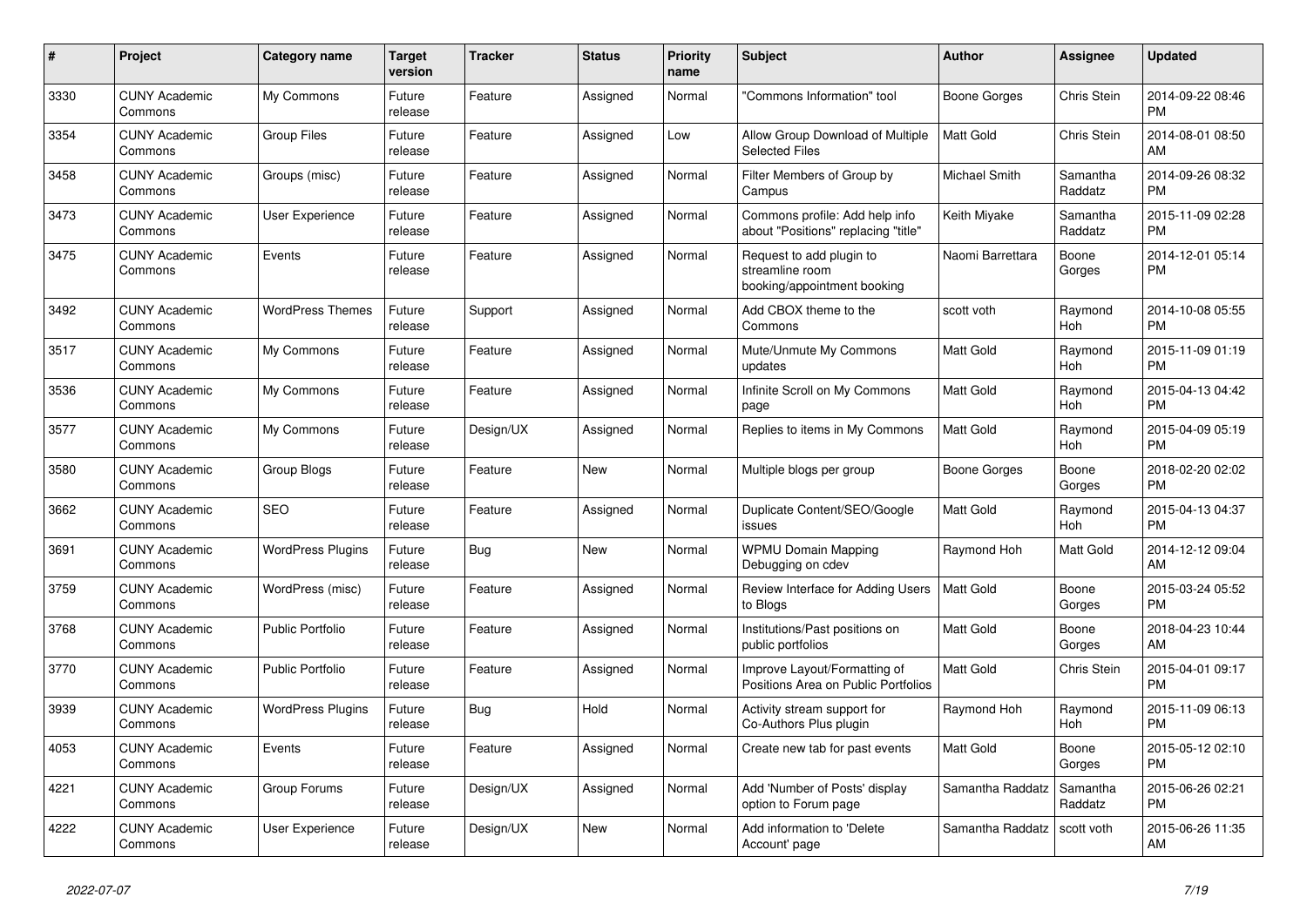| #    | <b>Project</b>                  | <b>Category name</b>     | <b>Target</b><br>version | <b>Tracker</b> | <b>Status</b> | <b>Priority</b><br>name | <b>Subject</b>                                                             | <b>Author</b>        | Assignee            | <b>Updated</b>                |
|------|---------------------------------|--------------------------|--------------------------|----------------|---------------|-------------------------|----------------------------------------------------------------------------|----------------------|---------------------|-------------------------------|
| 3330 | <b>CUNY Academic</b><br>Commons | My Commons               | Future<br>release        | Feature        | Assigned      | Normal                  | 'Commons Information" tool                                                 | Boone Gorges         | Chris Stein         | 2014-09-22 08:46<br><b>PM</b> |
| 3354 | <b>CUNY Academic</b><br>Commons | <b>Group Files</b>       | Future<br>release        | Feature        | Assigned      | Low                     | Allow Group Download of Multiple<br><b>Selected Files</b>                  | <b>Matt Gold</b>     | Chris Stein         | 2014-08-01 08:50<br>AM        |
| 3458 | <b>CUNY Academic</b><br>Commons | Groups (misc)            | Future<br>release        | Feature        | Assigned      | Normal                  | Filter Members of Group by<br>Campus                                       | <b>Michael Smith</b> | Samantha<br>Raddatz | 2014-09-26 08:32<br><b>PM</b> |
| 3473 | <b>CUNY Academic</b><br>Commons | User Experience          | Future<br>release        | Feature        | Assigned      | Normal                  | Commons profile: Add help info<br>about "Positions" replacing "title"      | Keith Miyake         | Samantha<br>Raddatz | 2015-11-09 02:28<br><b>PM</b> |
| 3475 | <b>CUNY Academic</b><br>Commons | Events                   | Future<br>release        | Feature        | Assigned      | Normal                  | Request to add plugin to<br>streamline room<br>booking/appointment booking | Naomi Barrettara     | Boone<br>Gorges     | 2014-12-01 05:14<br><b>PM</b> |
| 3492 | <b>CUNY Academic</b><br>Commons | <b>WordPress Themes</b>  | Future<br>release        | Support        | Assigned      | Normal                  | Add CBOX theme to the<br>Commons                                           | scott voth           | Raymond<br>Hoh      | 2014-10-08 05:55<br><b>PM</b> |
| 3517 | <b>CUNY Academic</b><br>Commons | My Commons               | Future<br>release        | Feature        | Assigned      | Normal                  | Mute/Unmute My Commons<br>updates                                          | <b>Matt Gold</b>     | Raymond<br>Hoh      | 2015-11-09 01:19<br><b>PM</b> |
| 3536 | <b>CUNY Academic</b><br>Commons | My Commons               | Future<br>release        | Feature        | Assigned      | Normal                  | Infinite Scroll on My Commons<br>page                                      | <b>Matt Gold</b>     | Raymond<br>Hoh      | 2015-04-13 04:42<br><b>PM</b> |
| 3577 | <b>CUNY Academic</b><br>Commons | My Commons               | Future<br>release        | Design/UX      | Assigned      | Normal                  | Replies to items in My Commons                                             | <b>Matt Gold</b>     | Raymond<br>Hoh      | 2015-04-09 05:19<br><b>PM</b> |
| 3580 | <b>CUNY Academic</b><br>Commons | <b>Group Blogs</b>       | Future<br>release        | Feature        | <b>New</b>    | Normal                  | Multiple blogs per group                                                   | Boone Gorges         | Boone<br>Gorges     | 2018-02-20 02:02<br><b>PM</b> |
| 3662 | <b>CUNY Academic</b><br>Commons | <b>SEO</b>               | Future<br>release        | Feature        | Assigned      | Normal                  | Duplicate Content/SEO/Google<br>issues                                     | <b>Matt Gold</b>     | Raymond<br>Hoh      | 2015-04-13 04:37<br><b>PM</b> |
| 3691 | <b>CUNY Academic</b><br>Commons | <b>WordPress Plugins</b> | Future<br>release        | Bug            | New           | Normal                  | <b>WPMU Domain Mapping</b><br>Debugging on cdev                            | Raymond Hoh          | Matt Gold           | 2014-12-12 09:04<br>AM        |
| 3759 | <b>CUNY Academic</b><br>Commons | WordPress (misc)         | Future<br>release        | Feature        | Assigned      | Normal                  | Review Interface for Adding Users<br>to Blogs                              | <b>Matt Gold</b>     | Boone<br>Gorges     | 2015-03-24 05:52<br><b>PM</b> |
| 3768 | <b>CUNY Academic</b><br>Commons | <b>Public Portfolio</b>  | Future<br>release        | Feature        | Assigned      | Normal                  | Institutions/Past positions on<br>public portfolios                        | <b>Matt Gold</b>     | Boone<br>Gorges     | 2018-04-23 10:44<br>AM        |
| 3770 | <b>CUNY Academic</b><br>Commons | <b>Public Portfolio</b>  | Future<br>release        | Feature        | Assigned      | Normal                  | Improve Layout/Formatting of<br>Positions Area on Public Portfolios        | <b>Matt Gold</b>     | Chris Stein         | 2015-04-01 09:17<br><b>PM</b> |
| 3939 | <b>CUNY Academic</b><br>Commons | <b>WordPress Plugins</b> | Future<br>release        | Bug            | Hold          | Normal                  | Activity stream support for<br>Co-Authors Plus plugin                      | Raymond Hoh          | Raymond<br>Hoh      | 2015-11-09 06:13<br><b>PM</b> |
| 4053 | <b>CUNY Academic</b><br>Commons | Events                   | Future<br>release        | Feature        | Assigned      | Normal                  | Create new tab for past events                                             | <b>Matt Gold</b>     | Boone<br>Gorges     | 2015-05-12 02:10<br><b>PM</b> |
| 4221 | <b>CUNY Academic</b><br>Commons | Group Forums             | Future<br>release        | Design/UX      | Assigned      | Normal                  | Add 'Number of Posts' display<br>option to Forum page                      | Samantha Raddatz     | Samantha<br>Raddatz | 2015-06-26 02:21<br><b>PM</b> |
| 4222 | <b>CUNY Academic</b><br>Commons | User Experience          | Future<br>release        | Design/UX      | <b>New</b>    | Normal                  | Add information to 'Delete<br>Account' page                                | Samantha Raddatz     | scott voth          | 2015-06-26 11:35<br>AM        |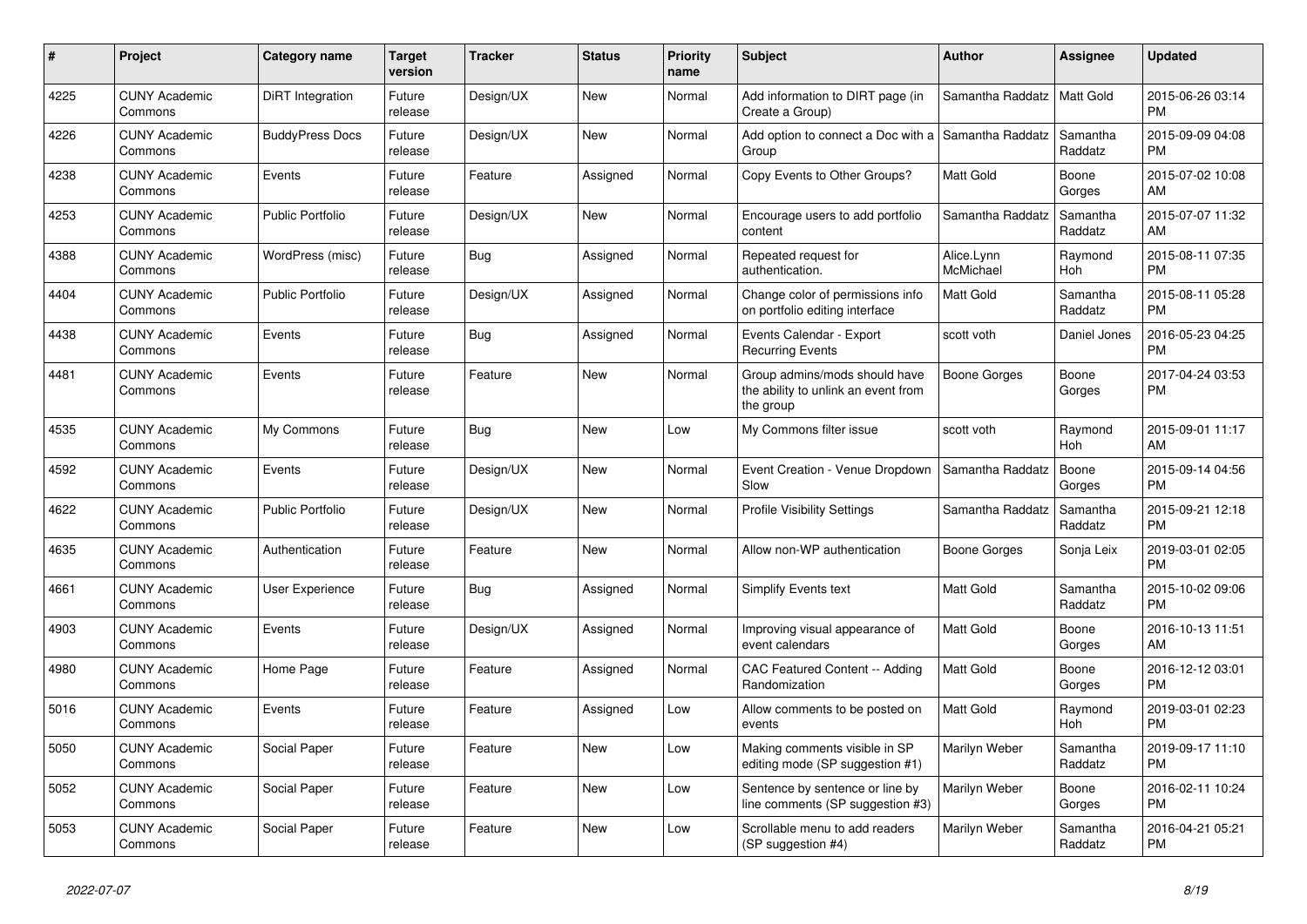| #    | <b>Project</b>                  | <b>Category name</b>    | <b>Target</b><br>version | <b>Tracker</b> | <b>Status</b> | <b>Priority</b><br>name | <b>Subject</b>                                                                    | <b>Author</b>           | Assignee            | <b>Updated</b>                |
|------|---------------------------------|-------------------------|--------------------------|----------------|---------------|-------------------------|-----------------------------------------------------------------------------------|-------------------------|---------------------|-------------------------------|
| 4225 | <b>CUNY Academic</b><br>Commons | <b>DiRT</b> Integration | Future<br>release        | Design/UX      | New           | Normal                  | Add information to DIRT page (in<br>Create a Group)                               | Samantha Raddatz        | Matt Gold           | 2015-06-26 03:14<br><b>PM</b> |
| 4226 | <b>CUNY Academic</b><br>Commons | <b>BuddyPress Docs</b>  | Future<br>release        | Design/UX      | New           | Normal                  | Add option to connect a Doc with a Samantha Raddatz<br>Group                      |                         | Samantha<br>Raddatz | 2015-09-09 04:08<br><b>PM</b> |
| 4238 | <b>CUNY Academic</b><br>Commons | Events                  | Future<br>release        | Feature        | Assigned      | Normal                  | Copy Events to Other Groups?                                                      | Matt Gold               | Boone<br>Gorges     | 2015-07-02 10:08<br>AM        |
| 4253 | <b>CUNY Academic</b><br>Commons | <b>Public Portfolio</b> | Future<br>release        | Design/UX      | <b>New</b>    | Normal                  | Encourage users to add portfolio<br>content                                       | Samantha Raddatz        | Samantha<br>Raddatz | 2015-07-07 11:32<br>AM        |
| 4388 | <b>CUNY Academic</b><br>Commons | WordPress (misc)        | Future<br>release        | Bug            | Assigned      | Normal                  | Repeated request for<br>authentication.                                           | Alice.Lynn<br>McMichael | Raymond<br>Hoh      | 2015-08-11 07:35<br><b>PM</b> |
| 4404 | <b>CUNY Academic</b><br>Commons | <b>Public Portfolio</b> | Future<br>release        | Design/UX      | Assigned      | Normal                  | Change color of permissions info<br>on portfolio editing interface                | Matt Gold               | Samantha<br>Raddatz | 2015-08-11 05:28<br><b>PM</b> |
| 4438 | <b>CUNY Academic</b><br>Commons | Events                  | Future<br>release        | <b>Bug</b>     | Assigned      | Normal                  | Events Calendar - Export<br><b>Recurring Events</b>                               | scott voth              | Daniel Jones        | 2016-05-23 04:25<br><b>PM</b> |
| 4481 | <b>CUNY Academic</b><br>Commons | Events                  | Future<br>release        | Feature        | <b>New</b>    | Normal                  | Group admins/mods should have<br>the ability to unlink an event from<br>the group | <b>Boone Gorges</b>     | Boone<br>Gorges     | 2017-04-24 03:53<br>PM        |
| 4535 | <b>CUNY Academic</b><br>Commons | My Commons              | Future<br>release        | <b>Bug</b>     | <b>New</b>    | Low                     | My Commons filter issue                                                           | scott voth              | Raymond<br>Hoh      | 2015-09-01 11:17<br>AM        |
| 4592 | <b>CUNY Academic</b><br>Commons | Events                  | Future<br>release        | Design/UX      | New           | Normal                  | Event Creation - Venue Dropdown<br>Slow                                           | Samantha Raddatz        | Boone<br>Gorges     | 2015-09-14 04:56<br><b>PM</b> |
| 4622 | <b>CUNY Academic</b><br>Commons | <b>Public Portfolio</b> | Future<br>release        | Design/UX      | New           | Normal                  | <b>Profile Visibility Settings</b>                                                | Samantha Raddatz        | Samantha<br>Raddatz | 2015-09-21 12:18<br><b>PM</b> |
| 4635 | <b>CUNY Academic</b><br>Commons | Authentication          | Future<br>release        | Feature        | New           | Normal                  | Allow non-WP authentication                                                       | Boone Gorges            | Sonja Leix          | 2019-03-01 02:05<br><b>PM</b> |
| 4661 | <b>CUNY Academic</b><br>Commons | <b>User Experience</b>  | Future<br>release        | Bug            | Assigned      | Normal                  | <b>Simplify Events text</b>                                                       | <b>Matt Gold</b>        | Samantha<br>Raddatz | 2015-10-02 09:06<br><b>PM</b> |
| 4903 | <b>CUNY Academic</b><br>Commons | Events                  | Future<br>release        | Design/UX      | Assigned      | Normal                  | Improving visual appearance of<br>event calendars                                 | <b>Matt Gold</b>        | Boone<br>Gorges     | 2016-10-13 11:51<br>AM        |
| 4980 | <b>CUNY Academic</b><br>Commons | Home Page               | Future<br>release        | Feature        | Assigned      | Normal                  | CAC Featured Content -- Adding<br>Randomization                                   | Matt Gold               | Boone<br>Gorges     | 2016-12-12 03:01<br><b>PM</b> |
| 5016 | <b>CUNY Academic</b><br>Commons | Events                  | Future<br>release        | Feature        | Assigned      | Low                     | Allow comments to be posted on<br>events                                          | <b>Matt Gold</b>        | Raymond<br>Hoh      | 2019-03-01 02:23<br><b>PM</b> |
| 5050 | <b>CUNY Academic</b><br>Commons | Social Paper            | Future<br>release        | Feature        | <b>New</b>    | Low                     | Making comments visible in SP<br>editing mode (SP suggestion #1)                  | Marilyn Weber           | Samantha<br>Raddatz | 2019-09-17 11:10<br><b>PM</b> |
| 5052 | <b>CUNY Academic</b><br>Commons | Social Paper            | Future<br>release        | Feature        | New           | Low                     | Sentence by sentence or line by<br>line comments (SP suggestion #3)               | Marilyn Weber           | Boone<br>Gorges     | 2016-02-11 10:24<br><b>PM</b> |
| 5053 | <b>CUNY Academic</b><br>Commons | Social Paper            | Future<br>release        | Feature        | <b>New</b>    | Low                     | Scrollable menu to add readers<br>(SP suggestion #4)                              | Marilyn Weber           | Samantha<br>Raddatz | 2016-04-21 05:21<br><b>PM</b> |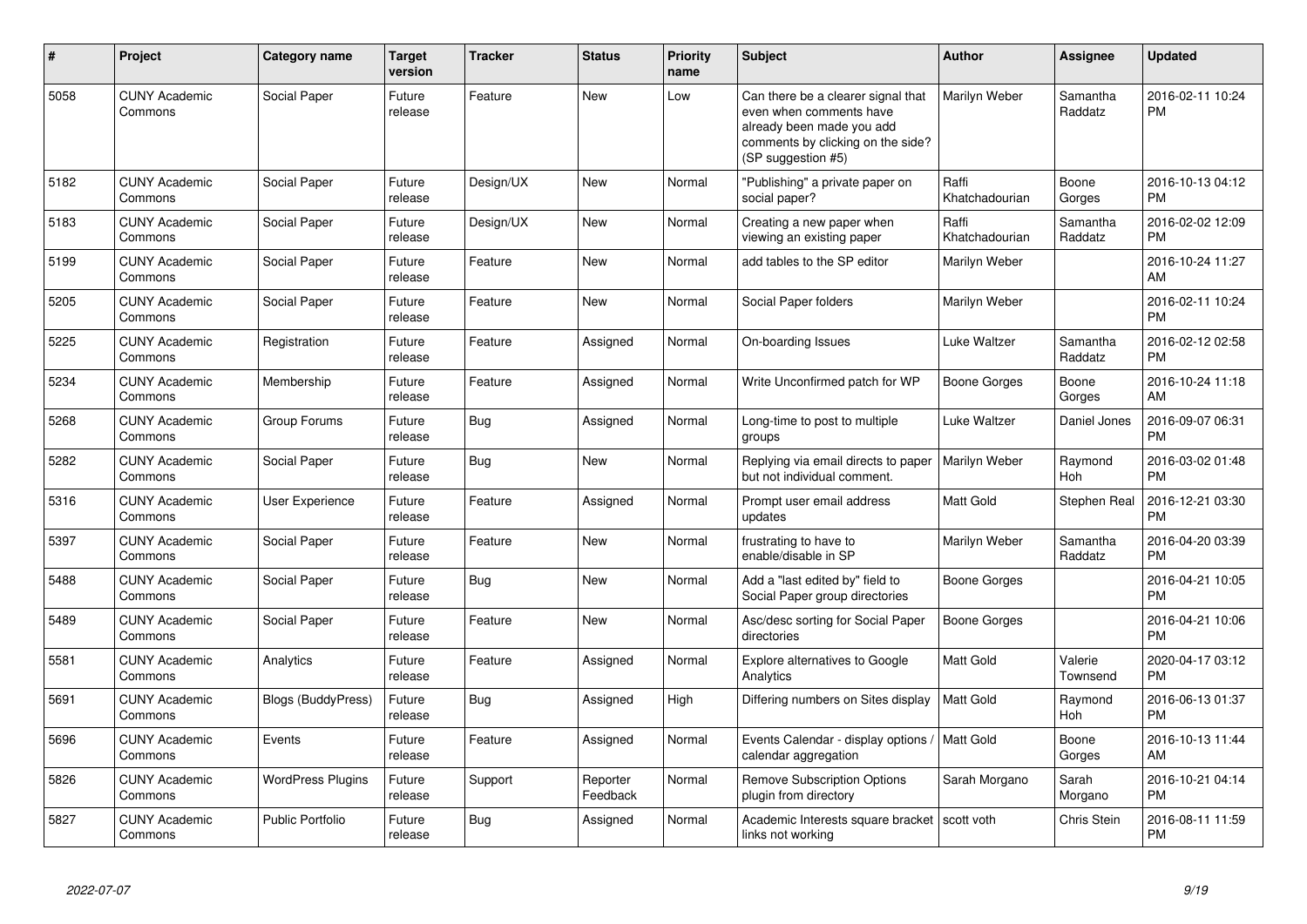| #    | <b>Project</b>                  | Category name             | <b>Target</b><br>version | <b>Tracker</b> | <b>Status</b>        | <b>Priority</b><br>name | Subject                                                                                                                                               | Author                  | Assignee            | <b>Updated</b>                |
|------|---------------------------------|---------------------------|--------------------------|----------------|----------------------|-------------------------|-------------------------------------------------------------------------------------------------------------------------------------------------------|-------------------------|---------------------|-------------------------------|
| 5058 | <b>CUNY Academic</b><br>Commons | Social Paper              | Future<br>release        | Feature        | <b>New</b>           | Low                     | Can there be a clearer signal that<br>even when comments have<br>already been made you add<br>comments by clicking on the side?<br>(SP suggestion #5) | Marilyn Weber           | Samantha<br>Raddatz | 2016-02-11 10:24<br><b>PM</b> |
| 5182 | <b>CUNY Academic</b><br>Commons | Social Paper              | Future<br>release        | Design/UX      | New                  | Normal                  | "Publishing" a private paper on<br>social paper?                                                                                                      | Raffi<br>Khatchadourian | Boone<br>Gorges     | 2016-10-13 04:12<br><b>PM</b> |
| 5183 | <b>CUNY Academic</b><br>Commons | Social Paper              | Future<br>release        | Design/UX      | New                  | Normal                  | Creating a new paper when<br>viewing an existing paper                                                                                                | Raffi<br>Khatchadourian | Samantha<br>Raddatz | 2016-02-02 12:09<br><b>PM</b> |
| 5199 | <b>CUNY Academic</b><br>Commons | Social Paper              | Future<br>release        | Feature        | <b>New</b>           | Normal                  | add tables to the SP editor                                                                                                                           | Marilyn Weber           |                     | 2016-10-24 11:27<br>AM        |
| 5205 | <b>CUNY Academic</b><br>Commons | Social Paper              | Future<br>release        | Feature        | <b>New</b>           | Normal                  | Social Paper folders                                                                                                                                  | Marilyn Weber           |                     | 2016-02-11 10:24<br><b>PM</b> |
| 5225 | <b>CUNY Academic</b><br>Commons | Registration              | Future<br>release        | Feature        | Assigned             | Normal                  | On-boarding Issues                                                                                                                                    | Luke Waltzer            | Samantha<br>Raddatz | 2016-02-12 02:58<br><b>PM</b> |
| 5234 | <b>CUNY Academic</b><br>Commons | Membership                | Future<br>release        | Feature        | Assigned             | Normal                  | Write Unconfirmed patch for WP                                                                                                                        | <b>Boone Gorges</b>     | Boone<br>Gorges     | 2016-10-24 11:18<br>AM        |
| 5268 | <b>CUNY Academic</b><br>Commons | Group Forums              | Future<br>release        | Bug            | Assigned             | Normal                  | Long-time to post to multiple<br>groups                                                                                                               | Luke Waltzer            | Daniel Jones        | 2016-09-07 06:31<br><b>PM</b> |
| 5282 | <b>CUNY Academic</b><br>Commons | Social Paper              | Future<br>release        | Bug            | New                  | Normal                  | Replying via email directs to paper   Marilyn Weber<br>but not individual comment.                                                                    |                         | Raymond<br>Hoh      | 2016-03-02 01:48<br><b>PM</b> |
| 5316 | <b>CUNY Academic</b><br>Commons | User Experience           | Future<br>release        | Feature        | Assigned             | Normal                  | Prompt user email address<br>updates                                                                                                                  | <b>Matt Gold</b>        | Stephen Real        | 2016-12-21 03:30<br><b>PM</b> |
| 5397 | <b>CUNY Academic</b><br>Commons | Social Paper              | Future<br>release        | Feature        | New                  | Normal                  | frustrating to have to<br>enable/disable in SP                                                                                                        | Marilyn Weber           | Samantha<br>Raddatz | 2016-04-20 03:39<br><b>PM</b> |
| 5488 | <b>CUNY Academic</b><br>Commons | Social Paper              | Future<br>release        | Bug            | <b>New</b>           | Normal                  | Add a "last edited by" field to<br>Social Paper group directories                                                                                     | Boone Gorges            |                     | 2016-04-21 10:05<br><b>PM</b> |
| 5489 | <b>CUNY Academic</b><br>Commons | Social Paper              | Future<br>release        | Feature        | New                  | Normal                  | Asc/desc sorting for Social Paper<br>directories                                                                                                      | Boone Gorges            |                     | 2016-04-21 10:06<br><b>PM</b> |
| 5581 | <b>CUNY Academic</b><br>Commons | Analytics                 | Future<br>release        | Feature        | Assigned             | Normal                  | <b>Explore alternatives to Google</b><br>Analytics                                                                                                    | <b>Matt Gold</b>        | Valerie<br>Townsend | 2020-04-17 03:12<br><b>PM</b> |
| 5691 | <b>CUNY Academic</b><br>Commons | <b>Blogs (BuddyPress)</b> | Future<br>release        | Bug            | Assigned             | High                    | Differing numbers on Sites display                                                                                                                    | <b>Matt Gold</b>        | Raymond<br>Hoh      | 2016-06-13 01:37<br><b>PM</b> |
| 5696 | <b>CUNY Academic</b><br>Commons | Events                    | Future<br>release        | Feature        | Assigned             | Normal                  | Events Calendar - display options /   Matt Gold<br>calendar aggregation                                                                               |                         | Boone<br>Gorges     | 2016-10-13 11:44<br>AM        |
| 5826 | <b>CUNY Academic</b><br>Commons | <b>WordPress Plugins</b>  | Future<br>release        | Support        | Reporter<br>Feedback | Normal                  | Remove Subscription Options<br>plugin from directory                                                                                                  | Sarah Morgano           | Sarah<br>Morgano    | 2016-10-21 04:14<br><b>PM</b> |
| 5827 | <b>CUNY Academic</b><br>Commons | <b>Public Portfolio</b>   | Future<br>release        | Bug            | Assigned             | Normal                  | Academic Interests square bracket   scott voth<br>links not working                                                                                   |                         | Chris Stein         | 2016-08-11 11:59<br><b>PM</b> |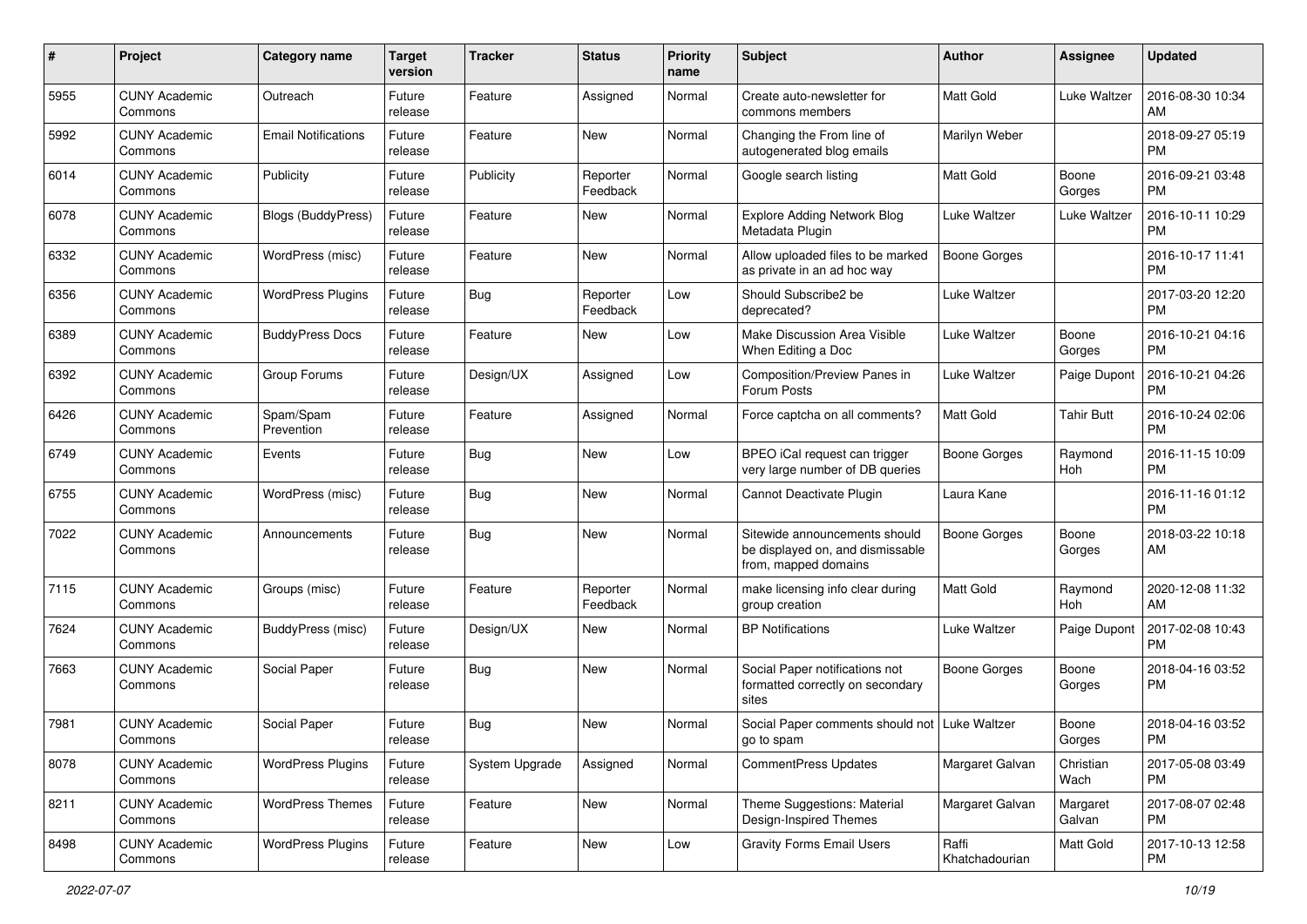| #    | Project                         | <b>Category name</b>       | <b>Target</b><br>version | <b>Tracker</b> | <b>Status</b>        | <b>Priority</b><br>name | Subject                                                                                   | Author                  | Assignee           | <b>Updated</b>                |
|------|---------------------------------|----------------------------|--------------------------|----------------|----------------------|-------------------------|-------------------------------------------------------------------------------------------|-------------------------|--------------------|-------------------------------|
| 5955 | <b>CUNY Academic</b><br>Commons | Outreach                   | Future<br>release        | Feature        | Assigned             | Normal                  | Create auto-newsletter for<br>commons members                                             | <b>Matt Gold</b>        | Luke Waltzer       | 2016-08-30 10:34<br>AM        |
| 5992 | <b>CUNY Academic</b><br>Commons | <b>Email Notifications</b> | Future<br>release        | Feature        | New                  | Normal                  | Changing the From line of<br>autogenerated blog emails                                    | Marilyn Weber           |                    | 2018-09-27 05:19<br><b>PM</b> |
| 6014 | CUNY Academic<br>Commons        | Publicity                  | Future<br>release        | Publicity      | Reporter<br>Feedback | Normal                  | Google search listing                                                                     | <b>Matt Gold</b>        | Boone<br>Gorges    | 2016-09-21 03:48<br><b>PM</b> |
| 6078 | <b>CUNY Academic</b><br>Commons | <b>Blogs (BuddyPress)</b>  | Future<br>release        | Feature        | New                  | Normal                  | <b>Explore Adding Network Blog</b><br>Metadata Plugin                                     | Luke Waltzer            | Luke Waltzer       | 2016-10-11 10:29<br>PM        |
| 6332 | <b>CUNY Academic</b><br>Commons | WordPress (misc)           | Future<br>release        | Feature        | New                  | Normal                  | Allow uploaded files to be marked<br>as private in an ad hoc way                          | Boone Gorges            |                    | 2016-10-17 11:41<br><b>PM</b> |
| 6356 | <b>CUNY Academic</b><br>Commons | <b>WordPress Plugins</b>   | Future<br>release        | Bug            | Reporter<br>Feedback | Low                     | Should Subscribe2 be<br>deprecated?                                                       | Luke Waltzer            |                    | 2017-03-20 12:20<br>PM        |
| 6389 | <b>CUNY Academic</b><br>Commons | <b>BuddyPress Docs</b>     | Future<br>release        | Feature        | New                  | Low                     | Make Discussion Area Visible<br>When Editing a Doc                                        | Luke Waltzer            | Boone<br>Gorges    | 2016-10-21 04:16<br><b>PM</b> |
| 6392 | <b>CUNY Academic</b><br>Commons | Group Forums               | Future<br>release        | Design/UX      | Assigned             | Low                     | Composition/Preview Panes in<br>Forum Posts                                               | Luke Waltzer            | Paige Dupont       | 2016-10-21 04:26<br>PM        |
| 6426 | <b>CUNY Academic</b><br>Commons | Spam/Spam<br>Prevention    | Future<br>release        | Feature        | Assigned             | Normal                  | Force captcha on all comments?                                                            | <b>Matt Gold</b>        | <b>Tahir Butt</b>  | 2016-10-24 02:06<br><b>PM</b> |
| 6749 | CUNY Academic<br>Commons        | Events                     | Future<br>release        | Bug            | New                  | Low                     | BPEO iCal request can trigger<br>very large number of DB queries                          | Boone Gorges            | Raymond<br>Hoh     | 2016-11-15 10:09<br>PM        |
| 6755 | <b>CUNY Academic</b><br>Commons | WordPress (misc)           | Future<br>release        | <b>Bug</b>     | <b>New</b>           | Normal                  | Cannot Deactivate Plugin                                                                  | Laura Kane              |                    | 2016-11-16 01:12<br>PM        |
| 7022 | <b>CUNY Academic</b><br>Commons | Announcements              | Future<br>release        | Bug            | New                  | Normal                  | Sitewide announcements should<br>be displayed on, and dismissable<br>from, mapped domains | <b>Boone Gorges</b>     | Boone<br>Gorges    | 2018-03-22 10:18<br>AM        |
| 7115 | <b>CUNY Academic</b><br>Commons | Groups (misc)              | Future<br>release        | Feature        | Reporter<br>Feedback | Normal                  | make licensing info clear during<br>group creation                                        | <b>Matt Gold</b>        | Raymond<br>Hoh     | 2020-12-08 11:32<br>AM        |
| 7624 | <b>CUNY Academic</b><br>Commons | BuddyPress (misc)          | Future<br>release        | Design/UX      | New                  | Normal                  | <b>BP</b> Notifications                                                                   | Luke Waltzer            | Paige Dupont       | 2017-02-08 10:43<br><b>PM</b> |
| 7663 | <b>CUNY Academic</b><br>Commons | Social Paper               | Future<br>release        | Bug            | New                  | Normal                  | Social Paper notifications not<br>formatted correctly on secondary<br>sites               | Boone Gorges            | Boone<br>Gorges    | 2018-04-16 03:52<br><b>PM</b> |
| 7981 | CUNY Academic<br>Commons        | Social Paper               | Future<br>release        | Bug            | New                  | Normal                  | Social Paper comments should not   Luke Waltzer<br>go to spam                             |                         | Boone<br>Gorges    | 2018-04-16 03:52<br>PM        |
| 8078 | <b>CUNY Academic</b><br>Commons | <b>WordPress Plugins</b>   | Future<br>release        | System Upgrade | Assigned             | Normal                  | CommentPress Updates                                                                      | Margaret Galvan         | Christian<br>Wach  | 2017-05-08 03:49<br><b>PM</b> |
| 8211 | <b>CUNY Academic</b><br>Commons | <b>WordPress Themes</b>    | Future<br>release        | Feature        | New                  | Normal                  | Theme Suggestions: Material<br>Design-Inspired Themes                                     | Margaret Galvan         | Margaret<br>Galvan | 2017-08-07 02:48<br><b>PM</b> |
| 8498 | <b>CUNY Academic</b><br>Commons | <b>WordPress Plugins</b>   | Future<br>release        | Feature        | New                  | Low                     | <b>Gravity Forms Email Users</b>                                                          | Raffi<br>Khatchadourian | Matt Gold          | 2017-10-13 12:58<br>PM        |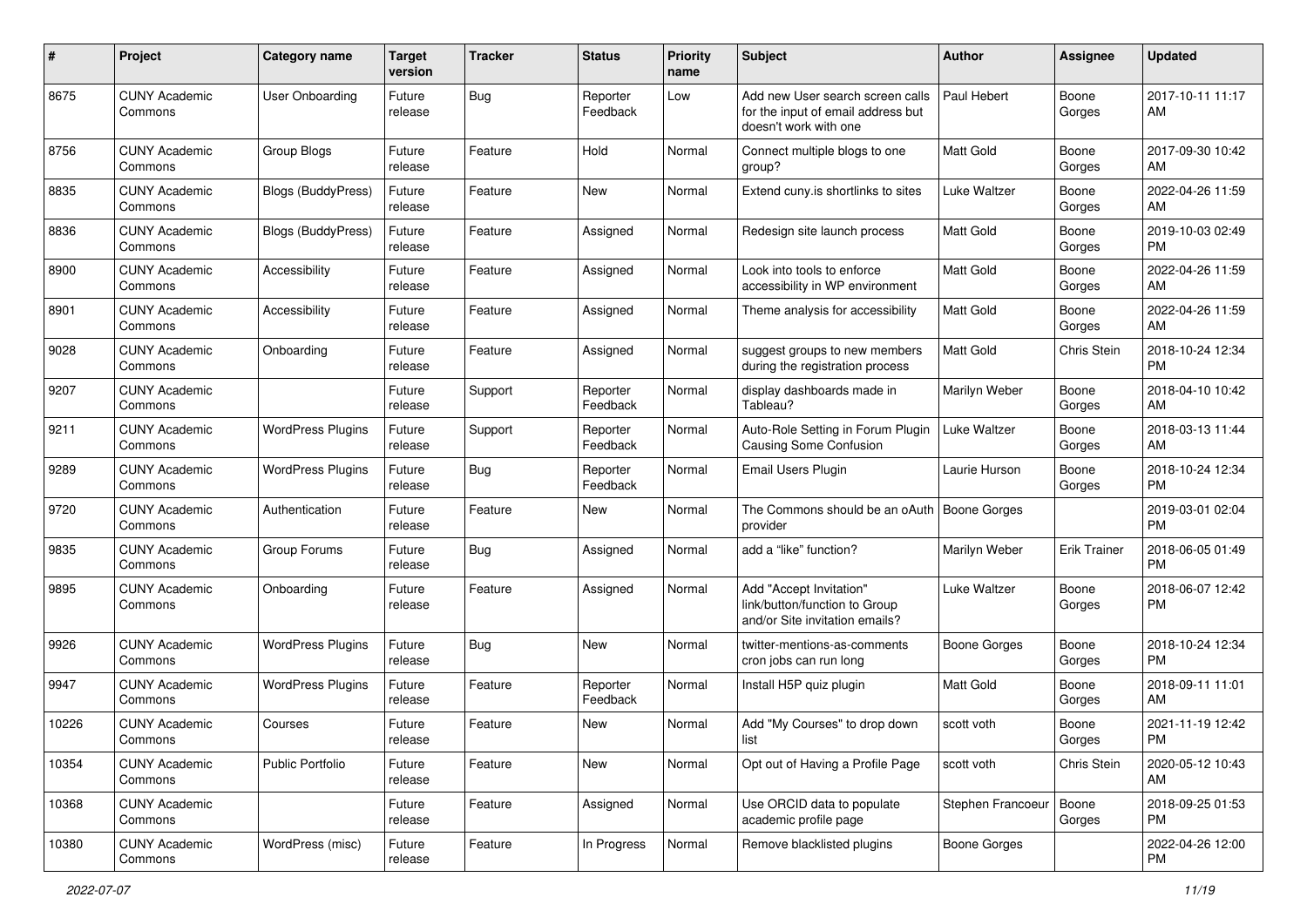| #     | Project                         | <b>Category name</b>     | <b>Target</b><br>version | <b>Tracker</b> | <b>Status</b>        | <b>Priority</b><br>name | <b>Subject</b>                                                                                  | Author              | <b>Assignee</b>     | <b>Updated</b>                |
|-------|---------------------------------|--------------------------|--------------------------|----------------|----------------------|-------------------------|-------------------------------------------------------------------------------------------------|---------------------|---------------------|-------------------------------|
| 8675  | <b>CUNY Academic</b><br>Commons | User Onboarding          | Future<br>release        | Bug            | Reporter<br>Feedback | Low                     | Add new User search screen calls<br>for the input of email address but<br>doesn't work with one | Paul Hebert         | Boone<br>Gorges     | 2017-10-11 11:17<br>AM        |
| 8756  | <b>CUNY Academic</b><br>Commons | Group Blogs              | Future<br>release        | Feature        | Hold                 | Normal                  | Connect multiple blogs to one<br>group?                                                         | <b>Matt Gold</b>    | Boone<br>Gorges     | 2017-09-30 10:42<br>AM        |
| 8835  | <b>CUNY Academic</b><br>Commons | Blogs (BuddyPress)       | Future<br>release        | Feature        | New                  | Normal                  | Extend cuny is shortlinks to sites                                                              | Luke Waltzer        | Boone<br>Gorges     | 2022-04-26 11:59<br>AM        |
| 8836  | <b>CUNY Academic</b><br>Commons | Blogs (BuddyPress)       | Future<br>release        | Feature        | Assigned             | Normal                  | Redesign site launch process                                                                    | Matt Gold           | Boone<br>Gorges     | 2019-10-03 02:49<br>PM        |
| 8900  | <b>CUNY Academic</b><br>Commons | Accessibility            | Future<br>release        | Feature        | Assigned             | Normal                  | Look into tools to enforce<br>accessibility in WP environment                                   | Matt Gold           | Boone<br>Gorges     | 2022-04-26 11:59<br>AM        |
| 8901  | <b>CUNY Academic</b><br>Commons | Accessibility            | Future<br>release        | Feature        | Assigned             | Normal                  | Theme analysis for accessibility                                                                | <b>Matt Gold</b>    | Boone<br>Gorges     | 2022-04-26 11:59<br>AM        |
| 9028  | <b>CUNY Academic</b><br>Commons | Onboarding               | Future<br>release        | Feature        | Assigned             | Normal                  | suggest groups to new members<br>during the registration process                                | <b>Matt Gold</b>    | Chris Stein         | 2018-10-24 12:34<br><b>PM</b> |
| 9207  | <b>CUNY Academic</b><br>Commons |                          | Future<br>release        | Support        | Reporter<br>Feedback | Normal                  | display dashboards made in<br>Tableau?                                                          | Marilyn Weber       | Boone<br>Gorges     | 2018-04-10 10:42<br>AM        |
| 9211  | <b>CUNY Academic</b><br>Commons | <b>WordPress Plugins</b> | Future<br>release        | Support        | Reporter<br>Feedback | Normal                  | Auto-Role Setting in Forum Plugin<br>Causing Some Confusion                                     | Luke Waltzer        | Boone<br>Gorges     | 2018-03-13 11:44<br>AM        |
| 9289  | <b>CUNY Academic</b><br>Commons | <b>WordPress Plugins</b> | Future<br>release        | Bug            | Reporter<br>Feedback | Normal                  | Email Users Plugin                                                                              | Laurie Hurson       | Boone<br>Gorges     | 2018-10-24 12:34<br>PM        |
| 9720  | <b>CUNY Academic</b><br>Commons | Authentication           | Future<br>release        | Feature        | New                  | Normal                  | The Commons should be an oAuth<br>provider                                                      | <b>Boone Gorges</b> |                     | 2019-03-01 02:04<br>PM        |
| 9835  | <b>CUNY Academic</b><br>Commons | Group Forums             | Future<br>release        | <b>Bug</b>     | Assigned             | Normal                  | add a "like" function?                                                                          | Marilyn Weber       | <b>Erik Trainer</b> | 2018-06-05 01:49<br><b>PM</b> |
| 9895  | <b>CUNY Academic</b><br>Commons | Onboarding               | Future<br>release        | Feature        | Assigned             | Normal                  | Add "Accept Invitation"<br>link/button/function to Group<br>and/or Site invitation emails?      | Luke Waltzer        | Boone<br>Gorges     | 2018-06-07 12:42<br><b>PM</b> |
| 9926  | <b>CUNY Academic</b><br>Commons | <b>WordPress Plugins</b> | Future<br>release        | <b>Bug</b>     | New                  | Normal                  | twitter-mentions-as-comments<br>cron jobs can run long                                          | <b>Boone Gorges</b> | Boone<br>Gorges     | 2018-10-24 12:34<br>PM        |
| 9947  | <b>CUNY Academic</b><br>Commons | <b>WordPress Plugins</b> | Future<br>release        | Feature        | Reporter<br>Feedback | Normal                  | Install H5P quiz plugin                                                                         | Matt Gold           | Boone<br>Gorges     | 2018-09-11 11:01<br>AM        |
| 10226 | <b>CUNY Academic</b><br>Commons | Courses                  | Future<br>release        | Feature        | New                  | Normal                  | Add "My Courses" to drop down<br>list                                                           | scott voth          | Boone<br>Gorges     | 2021-11-19 12:42<br>PM        |
| 10354 | <b>CUNY Academic</b><br>Commons | <b>Public Portfolio</b>  | Future<br>release        | Feature        | New                  | Normal                  | Opt out of Having a Profile Page                                                                | scott voth          | Chris Stein         | 2020-05-12 10:43<br>AM        |
| 10368 | <b>CUNY Academic</b><br>Commons |                          | Future<br>release        | Feature        | Assigned             | Normal                  | Use ORCID data to populate<br>academic profile page                                             | Stephen Francoeur   | Boone<br>Gorges     | 2018-09-25 01:53<br><b>PM</b> |
| 10380 | <b>CUNY Academic</b><br>Commons | WordPress (misc)         | Future<br>release        | Feature        | In Progress          | Normal                  | Remove blacklisted plugins                                                                      | Boone Gorges        |                     | 2022-04-26 12:00<br><b>PM</b> |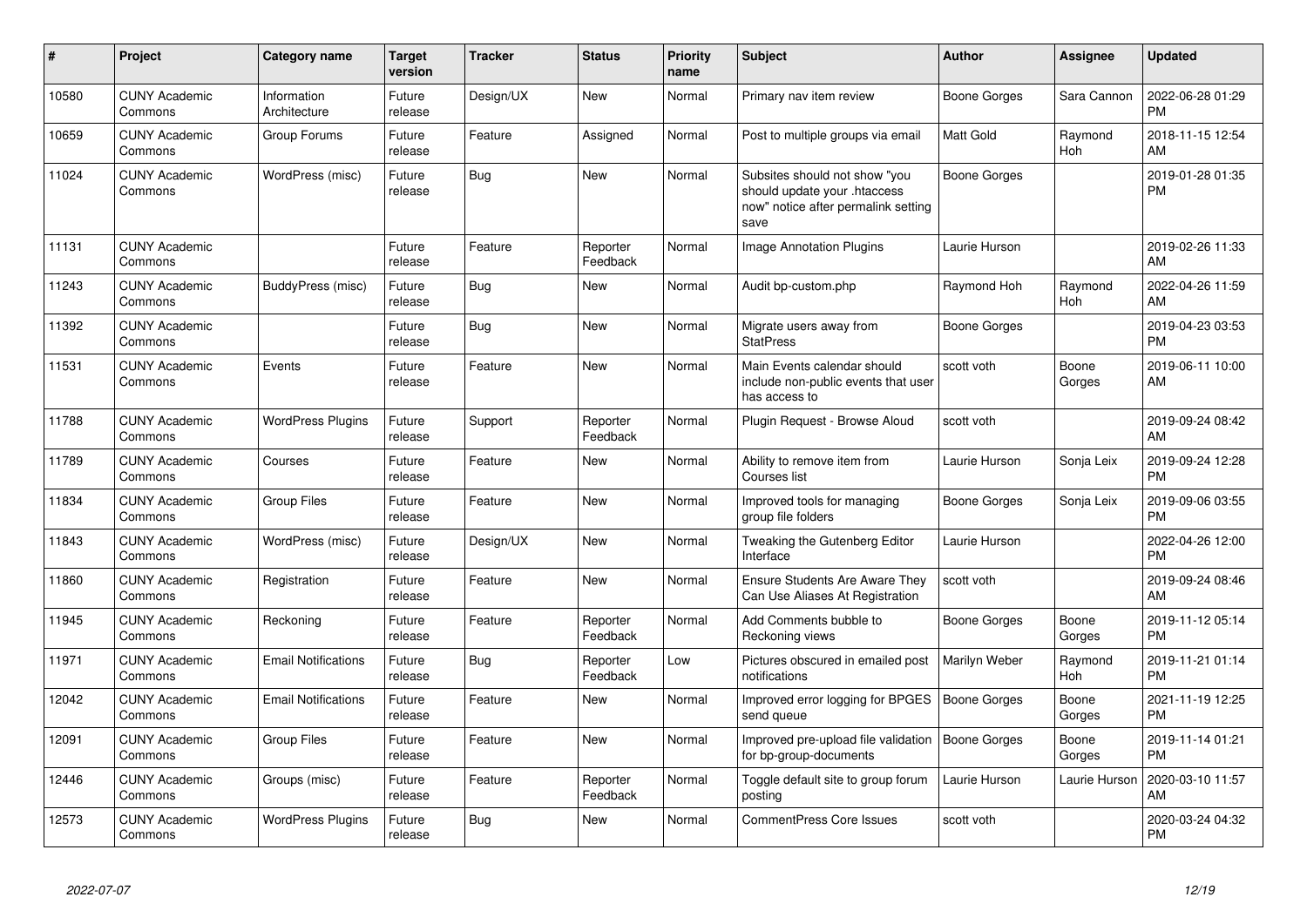| #     | Project                         | Category name               | <b>Target</b><br>version | <b>Tracker</b> | <b>Status</b>        | <b>Priority</b><br>name | <b>Subject</b>                                                                                               | Author              | <b>Assignee</b> | <b>Updated</b>                |
|-------|---------------------------------|-----------------------------|--------------------------|----------------|----------------------|-------------------------|--------------------------------------------------------------------------------------------------------------|---------------------|-----------------|-------------------------------|
| 10580 | <b>CUNY Academic</b><br>Commons | Information<br>Architecture | Future<br>release        | Design/UX      | <b>New</b>           | Normal                  | Primary nav item review                                                                                      | Boone Gorges        | Sara Cannon     | 2022-06-28 01:29<br><b>PM</b> |
| 10659 | <b>CUNY Academic</b><br>Commons | Group Forums                | Future<br>release        | Feature        | Assigned             | Normal                  | Post to multiple groups via email                                                                            | <b>Matt Gold</b>    | Raymond<br>Hoh  | 2018-11-15 12:54<br>AM        |
| 11024 | <b>CUNY Academic</b><br>Commons | WordPress (misc)            | Future<br>release        | Bug            | New                  | Normal                  | Subsites should not show "you<br>should update your .htaccess<br>now" notice after permalink setting<br>save | Boone Gorges        |                 | 2019-01-28 01:35<br><b>PM</b> |
| 11131 | <b>CUNY Academic</b><br>Commons |                             | Future<br>release        | Feature        | Reporter<br>Feedback | Normal                  | <b>Image Annotation Plugins</b>                                                                              | Laurie Hurson       |                 | 2019-02-26 11:33<br>AM        |
| 11243 | <b>CUNY Academic</b><br>Commons | BuddyPress (misc)           | Future<br>release        | Bug            | <b>New</b>           | Normal                  | Audit bp-custom.php                                                                                          | Raymond Hoh         | Raymond<br>Hoh  | 2022-04-26 11:59<br>AM        |
| 11392 | <b>CUNY Academic</b><br>Commons |                             | Future<br>release        | Bug            | <b>New</b>           | Normal                  | Migrate users away from<br><b>StatPress</b>                                                                  | Boone Gorges        |                 | 2019-04-23 03:53<br><b>PM</b> |
| 11531 | <b>CUNY Academic</b><br>Commons | Events                      | Future<br>release        | Feature        | <b>New</b>           | Normal                  | Main Events calendar should<br>include non-public events that user<br>has access to                          | scott voth          | Boone<br>Gorges | 2019-06-11 10:00<br>AM        |
| 11788 | <b>CUNY Academic</b><br>Commons | <b>WordPress Plugins</b>    | Future<br>release        | Support        | Reporter<br>Feedback | Normal                  | Plugin Request - Browse Aloud                                                                                | scott voth          |                 | 2019-09-24 08:42<br>AM        |
| 11789 | <b>CUNY Academic</b><br>Commons | Courses                     | Future<br>release        | Feature        | <b>New</b>           | Normal                  | Ability to remove item from<br>Courses list                                                                  | Laurie Hurson       | Sonja Leix      | 2019-09-24 12:28<br><b>PM</b> |
| 11834 | <b>CUNY Academic</b><br>Commons | <b>Group Files</b>          | Future<br>release        | Feature        | <b>New</b>           | Normal                  | Improved tools for managing<br>group file folders                                                            | Boone Gorges        | Sonja Leix      | 2019-09-06 03:55<br><b>PM</b> |
| 11843 | <b>CUNY Academic</b><br>Commons | WordPress (misc)            | Future<br>release        | Design/UX      | <b>New</b>           | Normal                  | Tweaking the Gutenberg Editor<br>Interface                                                                   | Laurie Hurson       |                 | 2022-04-26 12:00<br><b>PM</b> |
| 11860 | <b>CUNY Academic</b><br>Commons | Registration                | Future<br>release        | Feature        | <b>New</b>           | Normal                  | <b>Ensure Students Are Aware They</b><br>Can Use Aliases At Registration                                     | scott voth          |                 | 2019-09-24 08:46<br>AM        |
| 11945 | <b>CUNY Academic</b><br>Commons | Reckoning                   | Future<br>release        | Feature        | Reporter<br>Feedback | Normal                  | Add Comments bubble to<br>Reckoning views                                                                    | Boone Gorges        | Boone<br>Gorges | 2019-11-12 05:14<br><b>PM</b> |
| 11971 | <b>CUNY Academic</b><br>Commons | <b>Email Notifications</b>  | Future<br>release        | Bug            | Reporter<br>Feedback | Low                     | Pictures obscured in emailed post<br>notifications                                                           | Marilyn Weber       | Raymond<br>Hoh  | 2019-11-21 01:14<br><b>PM</b> |
| 12042 | <b>CUNY Academic</b><br>Commons | <b>Email Notifications</b>  | Future<br>release        | Feature        | New                  | Normal                  | Improved error logging for BPGES<br>send queue                                                               | <b>Boone Gorges</b> | Boone<br>Gorges | 2021-11-19 12:25<br><b>PM</b> |
| 12091 | <b>CUNY Academic</b><br>Commons | <b>Group Files</b>          | Future<br>release        | Feature        | <b>New</b>           | Normal                  | Improved pre-upload file validation<br>for bp-group-documents                                                | Boone Gorges        | Boone<br>Gorges | 2019-11-14 01:21<br><b>PM</b> |
| 12446 | <b>CUNY Academic</b><br>Commons | Groups (misc)               | Future<br>release        | Feature        | Reporter<br>Feedback | Normal                  | Toggle default site to group forum<br>posting                                                                | Laurie Hurson       | Laurie Hurson   | 2020-03-10 11:57<br>AM        |
| 12573 | <b>CUNY Academic</b><br>Commons | <b>WordPress Plugins</b>    | Future<br>release        | <b>Bug</b>     | <b>New</b>           | Normal                  | <b>CommentPress Core Issues</b>                                                                              | scott voth          |                 | 2020-03-24 04:32<br>PM        |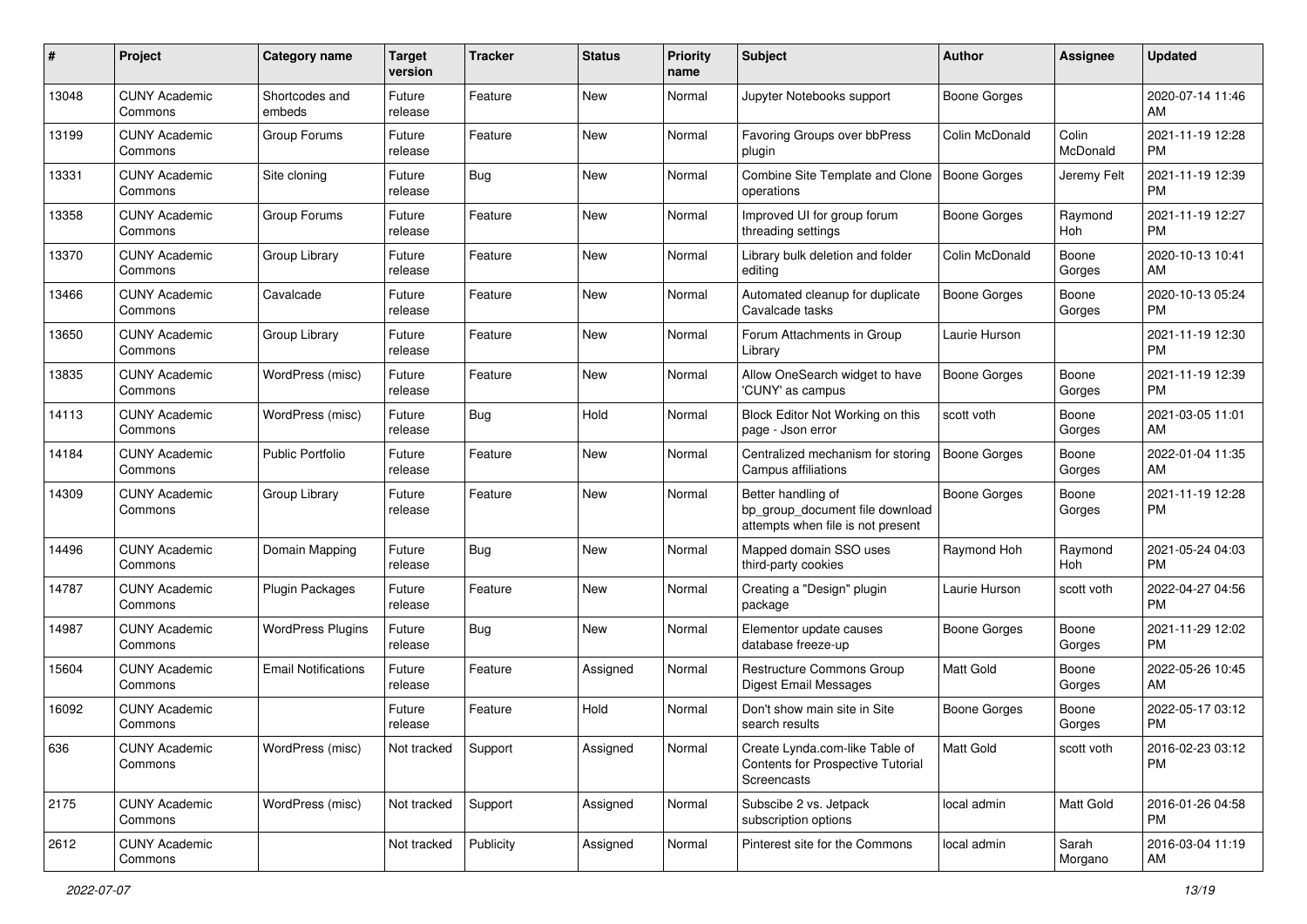| #     | Project                         | <b>Category name</b>       | <b>Target</b><br>version | <b>Tracker</b> | <b>Status</b> | <b>Priority</b><br>name | <b>Subject</b>                                                                             | <b>Author</b>       | <b>Assignee</b>   | <b>Updated</b>                |
|-------|---------------------------------|----------------------------|--------------------------|----------------|---------------|-------------------------|--------------------------------------------------------------------------------------------|---------------------|-------------------|-------------------------------|
| 13048 | <b>CUNY Academic</b><br>Commons | Shortcodes and<br>embeds   | Future<br>release        | Feature        | New           | Normal                  | Jupyter Notebooks support                                                                  | <b>Boone Gorges</b> |                   | 2020-07-14 11:46<br>AM        |
| 13199 | <b>CUNY Academic</b><br>Commons | Group Forums               | Future<br>release        | Feature        | New           | Normal                  | Favoring Groups over bbPress<br>plugin                                                     | Colin McDonald      | Colin<br>McDonald | 2021-11-19 12:28<br><b>PM</b> |
| 13331 | <b>CUNY Academic</b><br>Commons | Site cloning               | Future<br>release        | <b>Bug</b>     | New           | Normal                  | Combine Site Template and Clone<br>operations                                              | <b>Boone Gorges</b> | Jeremy Felt       | 2021-11-19 12:39<br><b>PM</b> |
| 13358 | <b>CUNY Academic</b><br>Commons | Group Forums               | Future<br>release        | Feature        | New           | Normal                  | Improved UI for group forum<br>threading settings                                          | Boone Gorges        | Raymond<br>Hoh    | 2021-11-19 12:27<br><b>PM</b> |
| 13370 | <b>CUNY Academic</b><br>Commons | Group Library              | Future<br>release        | Feature        | New           | Normal                  | Library bulk deletion and folder<br>editing                                                | Colin McDonald      | Boone<br>Gorges   | 2020-10-13 10:41<br>AM        |
| 13466 | <b>CUNY Academic</b><br>Commons | Cavalcade                  | Future<br>release        | Feature        | New           | Normal                  | Automated cleanup for duplicate<br>Cavalcade tasks                                         | Boone Gorges        | Boone<br>Gorges   | 2020-10-13 05:24<br><b>PM</b> |
| 13650 | <b>CUNY Academic</b><br>Commons | Group Library              | Future<br>release        | Feature        | New           | Normal                  | Forum Attachments in Group<br>Library                                                      | Laurie Hurson       |                   | 2021-11-19 12:30<br><b>PM</b> |
| 13835 | <b>CUNY Academic</b><br>Commons | WordPress (misc)           | Future<br>release        | Feature        | <b>New</b>    | Normal                  | Allow OneSearch widget to have<br>'CUNY' as campus                                         | <b>Boone Gorges</b> | Boone<br>Gorges   | 2021-11-19 12:39<br><b>PM</b> |
| 14113 | <b>CUNY Academic</b><br>Commons | WordPress (misc)           | Future<br>release        | <b>Bug</b>     | Hold          | Normal                  | Block Editor Not Working on this<br>page - Json error                                      | scott voth          | Boone<br>Gorges   | 2021-03-05 11:01<br>AM        |
| 14184 | <b>CUNY Academic</b><br>Commons | <b>Public Portfolio</b>    | Future<br>release        | Feature        | New           | Normal                  | Centralized mechanism for storing<br>Campus affiliations                                   | <b>Boone Gorges</b> | Boone<br>Gorges   | 2022-01-04 11:35<br>AM        |
| 14309 | <b>CUNY Academic</b><br>Commons | Group Library              | Future<br>release        | Feature        | New           | Normal                  | Better handling of<br>bp_group_document file download<br>attempts when file is not present | <b>Boone Gorges</b> | Boone<br>Gorges   | 2021-11-19 12:28<br><b>PM</b> |
| 14496 | <b>CUNY Academic</b><br>Commons | Domain Mapping             | Future<br>release        | <b>Bug</b>     | New           | Normal                  | Mapped domain SSO uses<br>third-party cookies                                              | Raymond Hoh         | Raymond<br>Hoh    | 2021-05-24 04:03<br><b>PM</b> |
| 14787 | <b>CUNY Academic</b><br>Commons | <b>Plugin Packages</b>     | Future<br>release        | Feature        | <b>New</b>    | Normal                  | Creating a "Design" plugin<br>package                                                      | Laurie Hurson       | scott voth        | 2022-04-27 04:56<br><b>PM</b> |
| 14987 | <b>CUNY Academic</b><br>Commons | <b>WordPress Plugins</b>   | Future<br>release        | <b>Bug</b>     | <b>New</b>    | Normal                  | Elementor update causes<br>database freeze-up                                              | <b>Boone Gorges</b> | Boone<br>Gorges   | 2021-11-29 12:02<br><b>PM</b> |
| 15604 | <b>CUNY Academic</b><br>Commons | <b>Email Notifications</b> | Future<br>release        | Feature        | Assigned      | Normal                  | Restructure Commons Group<br><b>Digest Email Messages</b>                                  | <b>Matt Gold</b>    | Boone<br>Gorges   | 2022-05-26 10:45<br>AM        |
| 16092 | <b>CUNY Academic</b><br>Commons |                            | Future<br>release        | Feature        | Hold          | Normal                  | Don't show main site in Site<br>search results                                             | <b>Boone Gorges</b> | Boone<br>Gorges   | 2022-05-17 03:12<br><b>PM</b> |
| 636   | <b>CUNY Academic</b><br>Commons | WordPress (misc)           | Not tracked              | Support        | Assigned      | Normal                  | Create Lynda.com-like Table of<br><b>Contents for Prospective Tutorial</b><br>Screencasts  | Matt Gold           | scott voth        | 2016-02-23 03:12<br>PM        |
| 2175  | <b>CUNY Academic</b><br>Commons | WordPress (misc)           | Not tracked              | Support        | Assigned      | Normal                  | Subscibe 2 vs. Jetpack<br>subscription options                                             | local admin         | Matt Gold         | 2016-01-26 04:58<br><b>PM</b> |
| 2612  | <b>CUNY Academic</b><br>Commons |                            | Not tracked              | Publicity      | Assigned      | Normal                  | Pinterest site for the Commons                                                             | local admin         | Sarah<br>Morgano  | 2016-03-04 11:19<br>AM        |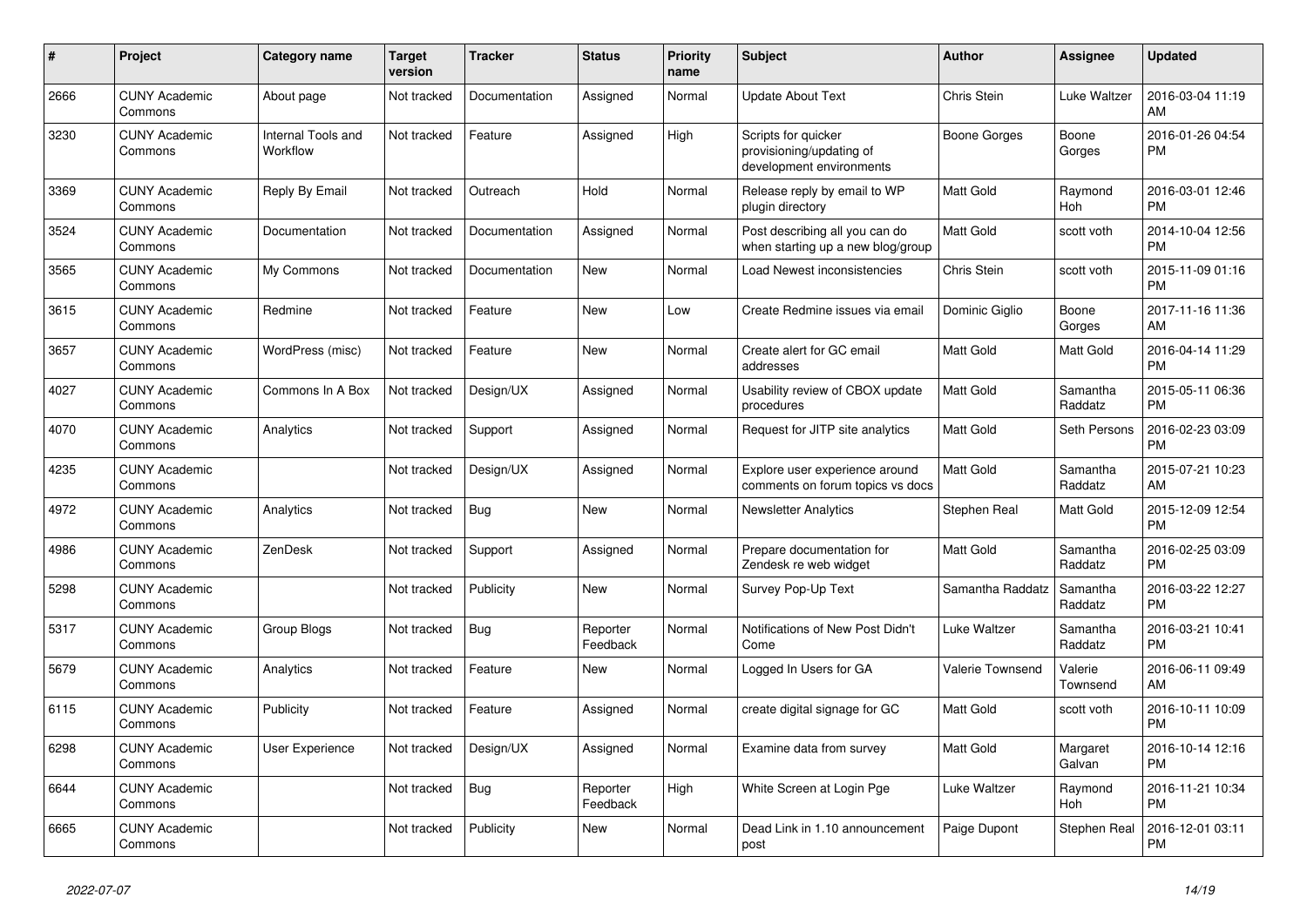| #    | <b>Project</b>                  | <b>Category name</b>           | <b>Target</b><br>version | <b>Tracker</b> | <b>Status</b>        | <b>Priority</b><br>name | <b>Subject</b>                                                              | <b>Author</b>       | Assignee            | <b>Updated</b>                |
|------|---------------------------------|--------------------------------|--------------------------|----------------|----------------------|-------------------------|-----------------------------------------------------------------------------|---------------------|---------------------|-------------------------------|
| 2666 | <b>CUNY Academic</b><br>Commons | About page                     | Not tracked              | Documentation  | Assigned             | Normal                  | <b>Update About Text</b>                                                    | Chris Stein         | Luke Waltzer        | 2016-03-04 11:19<br>AM        |
| 3230 | <b>CUNY Academic</b><br>Commons | Internal Tools and<br>Workflow | Not tracked              | Feature        | Assigned             | High                    | Scripts for quicker<br>provisioning/updating of<br>development environments | <b>Boone Gorges</b> | Boone<br>Gorges     | 2016-01-26 04:54<br><b>PM</b> |
| 3369 | <b>CUNY Academic</b><br>Commons | Reply By Email                 | Not tracked              | Outreach       | Hold                 | Normal                  | Release reply by email to WP<br>plugin directory                            | <b>Matt Gold</b>    | Raymond<br>Hoh      | 2016-03-01 12:46<br><b>PM</b> |
| 3524 | <b>CUNY Academic</b><br>Commons | Documentation                  | Not tracked              | Documentation  | Assigned             | Normal                  | Post describing all you can do<br>when starting up a new blog/group         | <b>Matt Gold</b>    | scott voth          | 2014-10-04 12:56<br><b>PM</b> |
| 3565 | <b>CUNY Academic</b><br>Commons | My Commons                     | Not tracked              | Documentation  | <b>New</b>           | Normal                  | Load Newest inconsistencies                                                 | Chris Stein         | scott voth          | 2015-11-09 01:16<br><b>PM</b> |
| 3615 | <b>CUNY Academic</b><br>Commons | Redmine                        | Not tracked              | Feature        | <b>New</b>           | Low                     | Create Redmine issues via email                                             | Dominic Giglio      | Boone<br>Gorges     | 2017-11-16 11:36<br>AM        |
| 3657 | <b>CUNY Academic</b><br>Commons | WordPress (misc)               | Not tracked              | Feature        | New                  | Normal                  | Create alert for GC email<br>addresses                                      | <b>Matt Gold</b>    | Matt Gold           | 2016-04-14 11:29<br><b>PM</b> |
| 4027 | <b>CUNY Academic</b><br>Commons | Commons In A Box               | Not tracked              | Design/UX      | Assigned             | Normal                  | Usability review of CBOX update<br>procedures                               | <b>Matt Gold</b>    | Samantha<br>Raddatz | 2015-05-11 06:36<br><b>PM</b> |
| 4070 | <b>CUNY Academic</b><br>Commons | Analytics                      | Not tracked              | Support        | Assigned             | Normal                  | Request for JITP site analytics                                             | Matt Gold           | Seth Persons        | 2016-02-23 03:09<br><b>PM</b> |
| 4235 | <b>CUNY Academic</b><br>Commons |                                | Not tracked              | Design/UX      | Assigned             | Normal                  | Explore user experience around<br>comments on forum topics vs docs          | Matt Gold           | Samantha<br>Raddatz | 2015-07-21 10:23<br>AM        |
| 4972 | <b>CUNY Academic</b><br>Commons | Analytics                      | Not tracked              | Bug            | New                  | Normal                  | <b>Newsletter Analytics</b>                                                 | Stephen Real        | Matt Gold           | 2015-12-09 12:54<br><b>PM</b> |
| 4986 | <b>CUNY Academic</b><br>Commons | ZenDesk                        | Not tracked              | Support        | Assigned             | Normal                  | Prepare documentation for<br>Zendesk re web widget                          | Matt Gold           | Samantha<br>Raddatz | 2016-02-25 03:09<br>PM        |
| 5298 | <b>CUNY Academic</b><br>Commons |                                | Not tracked              | Publicity      | <b>New</b>           | Normal                  | Survey Pop-Up Text                                                          | Samantha Raddatz    | Samantha<br>Raddatz | 2016-03-22 12:27<br><b>PM</b> |
| 5317 | <b>CUNY Academic</b><br>Commons | Group Blogs                    | Not tracked              | <b>Bug</b>     | Reporter<br>Feedback | Normal                  | Notifications of New Post Didn't<br>Come                                    | Luke Waltzer        | Samantha<br>Raddatz | 2016-03-21 10:41<br><b>PM</b> |
| 5679 | <b>CUNY Academic</b><br>Commons | Analytics                      | Not tracked              | Feature        | <b>New</b>           | Normal                  | Logged In Users for GA                                                      | Valerie Townsend    | Valerie<br>Townsend | 2016-06-11 09:49<br>AM        |
| 6115 | <b>CUNY Academic</b><br>Commons | Publicity                      | Not tracked              | Feature        | Assigned             | Normal                  | create digital signage for GC                                               | <b>Matt Gold</b>    | scott voth          | 2016-10-11 10:09<br><b>PM</b> |
| 6298 | <b>CUNY Academic</b><br>Commons | <b>User Experience</b>         | Not tracked              | Design/UX      | Assigned             | Normal                  | Examine data from survey                                                    | Matt Gold           | Margaret<br>Galvan  | 2016-10-14 12:16<br><b>PM</b> |
| 6644 | <b>CUNY Academic</b><br>Commons |                                | Not tracked              | Bug            | Reporter<br>Feedback | High                    | White Screen at Login Pge                                                   | Luke Waltzer        | Raymond<br>Hoh      | 2016-11-21 10:34<br><b>PM</b> |
| 6665 | <b>CUNY Academic</b><br>Commons |                                | Not tracked              | Publicity      | <b>New</b>           | Normal                  | Dead Link in 1.10 announcement<br>post                                      | Paige Dupont        | Stephen Real        | 2016-12-01 03:11<br>PM        |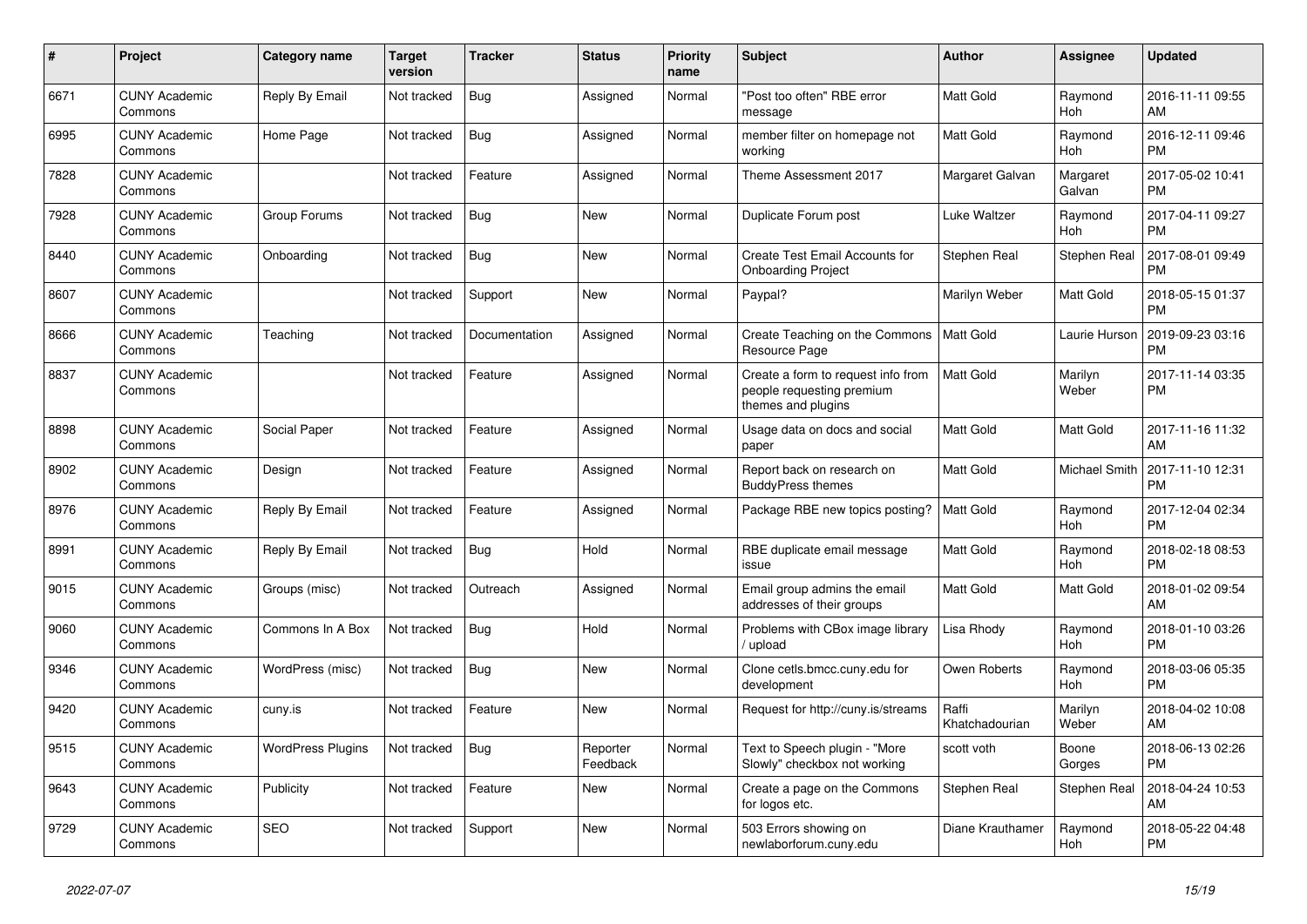| #    | Project                         | <b>Category name</b>     | <b>Target</b><br>version | <b>Tracker</b> | <b>Status</b>        | <b>Priority</b><br>name | <b>Subject</b>                                                                        | <b>Author</b>           | Assignee             | <b>Updated</b>                |
|------|---------------------------------|--------------------------|--------------------------|----------------|----------------------|-------------------------|---------------------------------------------------------------------------------------|-------------------------|----------------------|-------------------------------|
| 6671 | <b>CUNY Academic</b><br>Commons | Reply By Email           | Not tracked              | <b>Bug</b>     | Assigned             | Normal                  | "Post too often" RBE error<br>message                                                 | <b>Matt Gold</b>        | Raymond<br>Hoh       | 2016-11-11 09:55<br>AM        |
| 6995 | <b>CUNY Academic</b><br>Commons | Home Page                | Not tracked              | <b>Bug</b>     | Assigned             | Normal                  | member filter on homepage not<br>working                                              | Matt Gold               | Raymond<br>Hoh       | 2016-12-11 09:46<br><b>PM</b> |
| 7828 | <b>CUNY Academic</b><br>Commons |                          | Not tracked              | Feature        | Assigned             | Normal                  | Theme Assessment 2017                                                                 | Margaret Galvan         | Margaret<br>Galvan   | 2017-05-02 10:41<br><b>PM</b> |
| 7928 | <b>CUNY Academic</b><br>Commons | Group Forums             | Not tracked              | <b>Bug</b>     | <b>New</b>           | Normal                  | Duplicate Forum post                                                                  | Luke Waltzer            | Raymond<br>Hoh       | 2017-04-11 09:27<br><b>PM</b> |
| 8440 | <b>CUNY Academic</b><br>Commons | Onboarding               | Not tracked              | Bug            | New                  | Normal                  | <b>Create Test Email Accounts for</b><br><b>Onboarding Project</b>                    | Stephen Real            | Stephen Real         | 2017-08-01 09:49<br><b>PM</b> |
| 8607 | <b>CUNY Academic</b><br>Commons |                          | Not tracked              | Support        | New                  | Normal                  | Paypal?                                                                               | Marilyn Weber           | Matt Gold            | 2018-05-15 01:37<br><b>PM</b> |
| 8666 | <b>CUNY Academic</b><br>Commons | Teaching                 | Not tracked              | Documentation  | Assigned             | Normal                  | Create Teaching on the Commons<br>Resource Page                                       | l Matt Gold             | Laurie Hurson        | 2019-09-23 03:16<br><b>PM</b> |
| 8837 | <b>CUNY Academic</b><br>Commons |                          | Not tracked              | Feature        | Assigned             | Normal                  | Create a form to request info from<br>people requesting premium<br>themes and plugins | <b>Matt Gold</b>        | Marilyn<br>Weber     | 2017-11-14 03:35<br>PM        |
| 8898 | <b>CUNY Academic</b><br>Commons | Social Paper             | Not tracked              | Feature        | Assigned             | Normal                  | Usage data on docs and social<br>paper                                                | <b>Matt Gold</b>        | Matt Gold            | 2017-11-16 11:32<br>AM        |
| 8902 | <b>CUNY Academic</b><br>Commons | Design                   | Not tracked              | Feature        | Assigned             | Normal                  | Report back on research on<br><b>BuddyPress themes</b>                                | <b>Matt Gold</b>        | <b>Michael Smith</b> | 2017-11-10 12:31<br><b>PM</b> |
| 8976 | <b>CUNY Academic</b><br>Commons | Reply By Email           | Not tracked              | Feature        | Assigned             | Normal                  | Package RBE new topics posting?                                                       | <b>Matt Gold</b>        | Raymond<br>Hoh       | 2017-12-04 02:34<br><b>PM</b> |
| 8991 | <b>CUNY Academic</b><br>Commons | Reply By Email           | Not tracked              | Bug            | Hold                 | Normal                  | RBE duplicate email message<br>issue                                                  | <b>Matt Gold</b>        | Raymond<br>Hoh       | 2018-02-18 08:53<br><b>PM</b> |
| 9015 | <b>CUNY Academic</b><br>Commons | Groups (misc)            | Not tracked              | Outreach       | Assigned             | Normal                  | Email group admins the email<br>addresses of their groups                             | Matt Gold               | Matt Gold            | 2018-01-02 09:54<br>AM        |
| 9060 | <b>CUNY Academic</b><br>Commons | Commons In A Box         | Not tracked              | <b>Bug</b>     | Hold                 | Normal                  | Problems with CBox image library<br>upload                                            | Lisa Rhody              | Raymond<br>Hoh       | 2018-01-10 03:26<br><b>PM</b> |
| 9346 | <b>CUNY Academic</b><br>Commons | WordPress (misc)         | Not tracked              | Bug            | New                  | Normal                  | Clone cetls.bmcc.cuny.edu for<br>development                                          | Owen Roberts            | Raymond<br>Hoh       | 2018-03-06 05:35<br><b>PM</b> |
| 9420 | <b>CUNY Academic</b><br>Commons | cuny.is                  | Not tracked              | Feature        | New                  | Normal                  | Request for http://cuny.is/streams                                                    | Raffi<br>Khatchadourian | Marilyn<br>Weber     | 2018-04-02 10:08<br>AM        |
| 9515 | <b>CUNY Academic</b><br>Commons | <b>WordPress Plugins</b> | Not tracked              | Bug            | Reporter<br>Feedback | Normal                  | Text to Speech plugin - "More<br>Slowly" checkbox not working                         | scott voth              | Boone<br>Gorges      | 2018-06-13 02:26<br><b>PM</b> |
| 9643 | <b>CUNY Academic</b><br>Commons | Publicity                | Not tracked              | Feature        | New                  | Normal                  | Create a page on the Commons<br>for logos etc.                                        | Stephen Real            | Stephen Real         | 2018-04-24 10:53<br>AM        |
| 9729 | <b>CUNY Academic</b><br>Commons | <b>SEO</b>               | Not tracked              | Support        | <b>New</b>           | Normal                  | 503 Errors showing on<br>newlaborforum.cuny.edu                                       | Diane Krauthamer        | Raymond<br>Hoh       | 2018-05-22 04:48<br><b>PM</b> |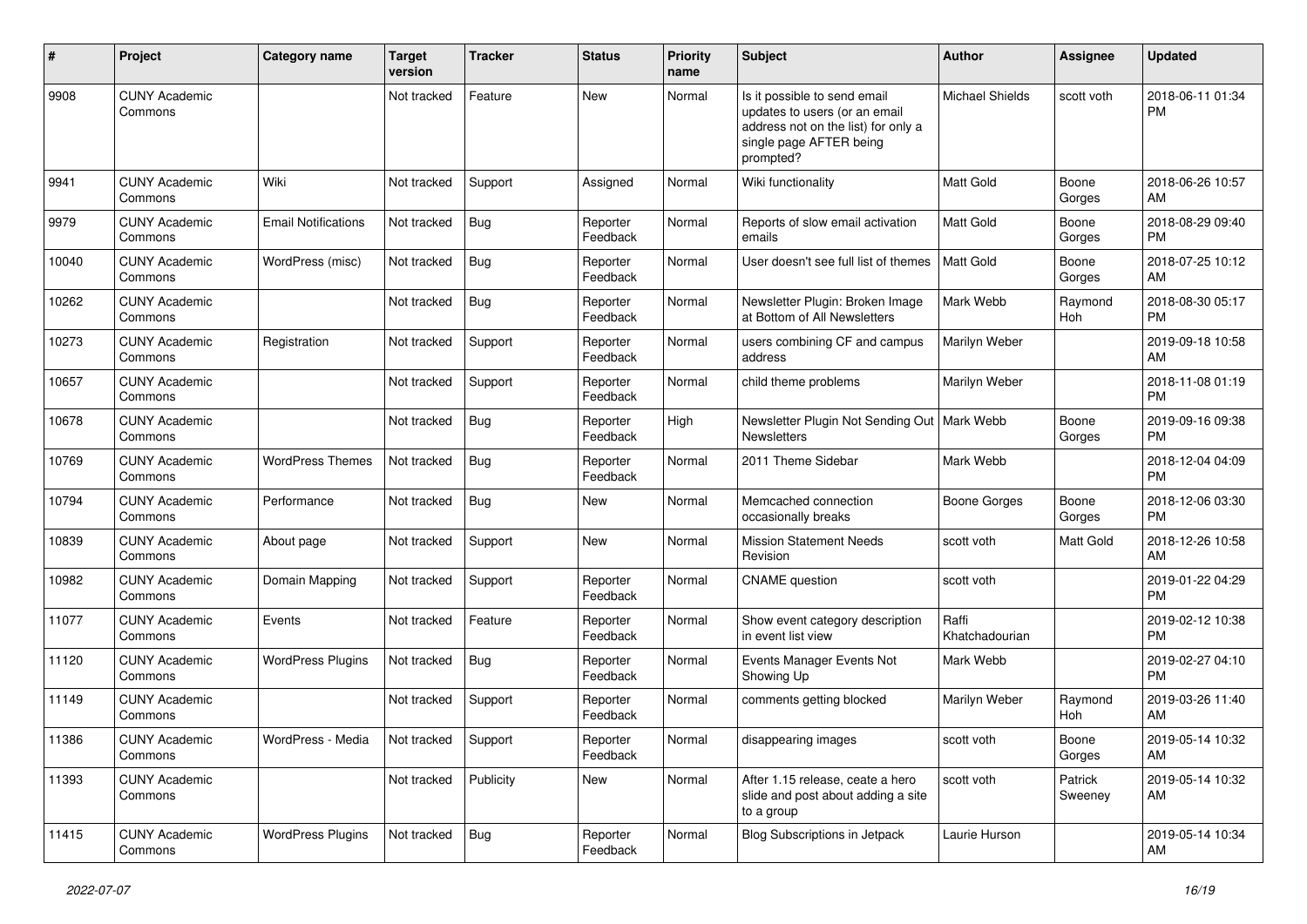| #     | Project                         | Category name              | <b>Target</b><br>version | Tracker    | <b>Status</b>        | <b>Priority</b><br>name | <b>Subject</b>                                                                                                                               | <b>Author</b>           | <b>Assignee</b>    | <b>Updated</b>                |
|-------|---------------------------------|----------------------------|--------------------------|------------|----------------------|-------------------------|----------------------------------------------------------------------------------------------------------------------------------------------|-------------------------|--------------------|-------------------------------|
| 9908  | <b>CUNY Academic</b><br>Commons |                            | Not tracked              | Feature    | <b>New</b>           | Normal                  | Is it possible to send email<br>updates to users (or an email<br>address not on the list) for only a<br>single page AFTER being<br>prompted? | <b>Michael Shields</b>  | scott voth         | 2018-06-11 01:34<br><b>PM</b> |
| 9941  | <b>CUNY Academic</b><br>Commons | Wiki                       | Not tracked              | Support    | Assigned             | Normal                  | Wiki functionality                                                                                                                           | <b>Matt Gold</b>        | Boone<br>Gorges    | 2018-06-26 10:57<br>AM        |
| 9979  | <b>CUNY Academic</b><br>Commons | <b>Email Notifications</b> | Not tracked              | Bug        | Reporter<br>Feedback | Normal                  | Reports of slow email activation<br>emails                                                                                                   | <b>Matt Gold</b>        | Boone<br>Gorges    | 2018-08-29 09:40<br><b>PM</b> |
| 10040 | <b>CUNY Academic</b><br>Commons | WordPress (misc)           | Not tracked              | Bug        | Reporter<br>Feedback | Normal                  | User doesn't see full list of themes                                                                                                         | <b>Matt Gold</b>        | Boone<br>Gorges    | 2018-07-25 10:12<br>AM        |
| 10262 | <b>CUNY Academic</b><br>Commons |                            | Not tracked              | Bug        | Reporter<br>Feedback | Normal                  | Newsletter Plugin: Broken Image<br>at Bottom of All Newsletters                                                                              | Mark Webb               | Raymond<br>Hoh     | 2018-08-30 05:17<br><b>PM</b> |
| 10273 | <b>CUNY Academic</b><br>Commons | Registration               | Not tracked              | Support    | Reporter<br>Feedback | Normal                  | users combining CF and campus<br>address                                                                                                     | Marilyn Weber           |                    | 2019-09-18 10:58<br>AM        |
| 10657 | <b>CUNY Academic</b><br>Commons |                            | Not tracked              | Support    | Reporter<br>Feedback | Normal                  | child theme problems                                                                                                                         | Marilyn Weber           |                    | 2018-11-08 01:19<br><b>PM</b> |
| 10678 | <b>CUNY Academic</b><br>Commons |                            | Not tracked              | Bug        | Reporter<br>Feedback | High                    | Newsletter Plugin Not Sending Out   Mark Webb<br><b>Newsletters</b>                                                                          |                         | Boone<br>Gorges    | 2019-09-16 09:38<br><b>PM</b> |
| 10769 | <b>CUNY Academic</b><br>Commons | <b>WordPress Themes</b>    | Not tracked              | <b>Bug</b> | Reporter<br>Feedback | Normal                  | 2011 Theme Sidebar                                                                                                                           | Mark Webb               |                    | 2018-12-04 04:09<br><b>PM</b> |
| 10794 | <b>CUNY Academic</b><br>Commons | Performance                | Not tracked              | Bug        | New                  | Normal                  | Memcached connection<br>occasionally breaks                                                                                                  | <b>Boone Gorges</b>     | Boone<br>Gorges    | 2018-12-06 03:30<br>PM        |
| 10839 | <b>CUNY Academic</b><br>Commons | About page                 | Not tracked              | Support    | New                  | Normal                  | <b>Mission Statement Needs</b><br>Revision                                                                                                   | scott voth              | Matt Gold          | 2018-12-26 10:58<br>AM        |
| 10982 | <b>CUNY Academic</b><br>Commons | Domain Mapping             | Not tracked              | Support    | Reporter<br>Feedback | Normal                  | <b>CNAME</b> question                                                                                                                        | scott voth              |                    | 2019-01-22 04:29<br><b>PM</b> |
| 11077 | <b>CUNY Academic</b><br>Commons | Events                     | Not tracked              | Feature    | Reporter<br>Feedback | Normal                  | Show event category description<br>in event list view                                                                                        | Raffi<br>Khatchadourian |                    | 2019-02-12 10:38<br><b>PM</b> |
| 11120 | <b>CUNY Academic</b><br>Commons | <b>WordPress Plugins</b>   | Not tracked              | Bug        | Reporter<br>Feedback | Normal                  | Events Manager Events Not<br>Showing Up                                                                                                      | Mark Webb               |                    | 2019-02-27 04:10<br><b>PM</b> |
| 11149 | <b>CUNY Academic</b><br>Commons |                            | Not tracked              | Support    | Reporter<br>Feedback | Normal                  | comments getting blocked                                                                                                                     | Marilyn Weber           | Raymond<br>Hoh     | 2019-03-26 11:40<br>AM        |
| 11386 | <b>CUNY Academic</b><br>Commons | WordPress - Media          | Not tracked Support      |            | Reporter<br>Feedback | Normal                  | disappearing images                                                                                                                          | scott voth              | Boone<br>Gorges    | 2019-05-14 10:32<br>AM        |
| 11393 | <b>CUNY Academic</b><br>Commons |                            | Not tracked              | Publicity  | New                  | Normal                  | After 1.15 release, ceate a hero<br>slide and post about adding a site<br>to a group                                                         | scott voth              | Patrick<br>Sweeney | 2019-05-14 10:32<br>AM        |
| 11415 | <b>CUNY Academic</b><br>Commons | <b>WordPress Plugins</b>   | Not tracked              | Bug        | Reporter<br>Feedback | Normal                  | Blog Subscriptions in Jetpack                                                                                                                | Laurie Hurson           |                    | 2019-05-14 10:34<br>AM        |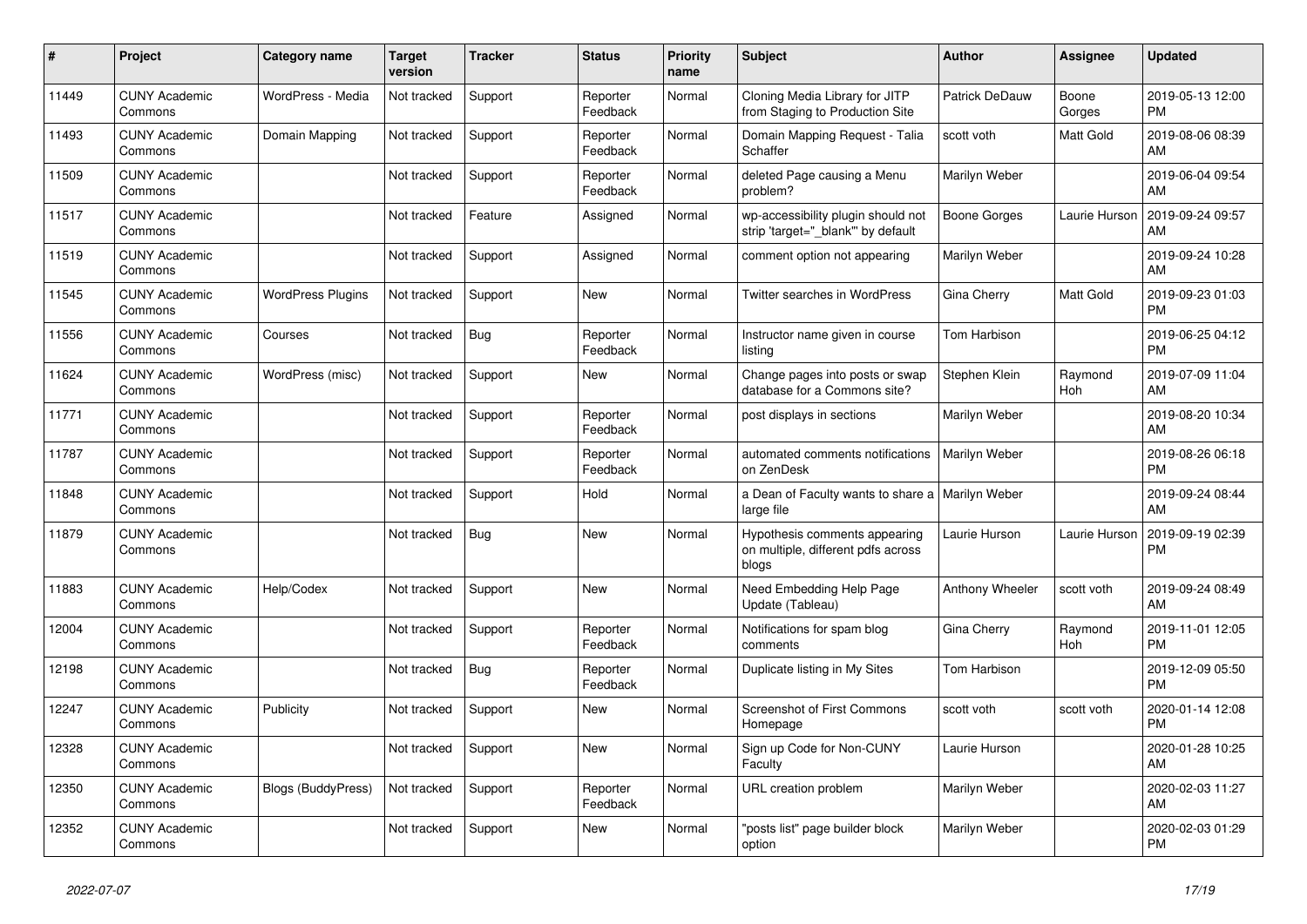| #     | Project                         | <b>Category name</b>      | <b>Target</b><br>version | <b>Tracker</b> | <b>Status</b>        | <b>Priority</b><br>name | <b>Subject</b>                                                               | <b>Author</b>       | Assignee        | <b>Updated</b>                |
|-------|---------------------------------|---------------------------|--------------------------|----------------|----------------------|-------------------------|------------------------------------------------------------------------------|---------------------|-----------------|-------------------------------|
| 11449 | <b>CUNY Academic</b><br>Commons | WordPress - Media         | Not tracked              | Support        | Reporter<br>Feedback | Normal                  | Cloning Media Library for JITP<br>from Staging to Production Site            | Patrick DeDauw      | Boone<br>Gorges | 2019-05-13 12:00<br><b>PM</b> |
| 11493 | <b>CUNY Academic</b><br>Commons | Domain Mapping            | Not tracked              | Support        | Reporter<br>Feedback | Normal                  | Domain Mapping Request - Talia<br>Schaffer                                   | scott voth          | Matt Gold       | 2019-08-06 08:39<br>AM        |
| 11509 | <b>CUNY Academic</b><br>Commons |                           | Not tracked              | Support        | Reporter<br>Feedback | Normal                  | deleted Page causing a Menu<br>problem?                                      | Marilyn Weber       |                 | 2019-06-04 09:54<br>AM        |
| 11517 | <b>CUNY Academic</b><br>Commons |                           | Not tracked              | Feature        | Assigned             | Normal                  | wp-accessibility plugin should not<br>strip 'target="_blank" by default      | <b>Boone Gorges</b> | Laurie Hurson   | 2019-09-24 09:57<br>AM        |
| 11519 | <b>CUNY Academic</b><br>Commons |                           | Not tracked              | Support        | Assigned             | Normal                  | comment option not appearing                                                 | Marilyn Weber       |                 | 2019-09-24 10:28<br>AM        |
| 11545 | <b>CUNY Academic</b><br>Commons | <b>WordPress Plugins</b>  | Not tracked              | Support        | New                  | Normal                  | Twitter searches in WordPress                                                | Gina Cherry         | Matt Gold       | 2019-09-23 01:03<br><b>PM</b> |
| 11556 | <b>CUNY Academic</b><br>Commons | Courses                   | Not tracked              | <b>Bug</b>     | Reporter<br>Feedback | Normal                  | Instructor name given in course<br>listing                                   | Tom Harbison        |                 | 2019-06-25 04:12<br><b>PM</b> |
| 11624 | <b>CUNY Academic</b><br>Commons | WordPress (misc)          | Not tracked              | Support        | <b>New</b>           | Normal                  | Change pages into posts or swap<br>database for a Commons site?              | Stephen Klein       | Raymond<br>Hoh  | 2019-07-09 11:04<br>AM        |
| 11771 | <b>CUNY Academic</b><br>Commons |                           | Not tracked              | Support        | Reporter<br>Feedback | Normal                  | post displays in sections                                                    | Marilyn Weber       |                 | 2019-08-20 10:34<br>AM        |
| 11787 | <b>CUNY Academic</b><br>Commons |                           | Not tracked              | Support        | Reporter<br>Feedback | Normal                  | automated comments notifications<br>on ZenDesk                               | Marilyn Weber       |                 | 2019-08-26 06:18<br><b>PM</b> |
| 11848 | <b>CUNY Academic</b><br>Commons |                           | Not tracked              | Support        | Hold                 | Normal                  | a Dean of Faculty wants to share a   Marilyn Weber<br>large file             |                     |                 | 2019-09-24 08:44<br>AM        |
| 11879 | <b>CUNY Academic</b><br>Commons |                           | Not tracked              | Bug            | <b>New</b>           | Normal                  | Hypothesis comments appearing<br>on multiple, different pdfs across<br>blogs | Laurie Hurson       | Laurie Hurson   | 2019-09-19 02:39<br><b>PM</b> |
| 11883 | <b>CUNY Academic</b><br>Commons | Help/Codex                | Not tracked              | Support        | <b>New</b>           | Normal                  | Need Embedding Help Page<br>Update (Tableau)                                 | Anthony Wheeler     | scott voth      | 2019-09-24 08:49<br>AM        |
| 12004 | <b>CUNY Academic</b><br>Commons |                           | Not tracked              | Support        | Reporter<br>Feedback | Normal                  | Notifications for spam blog<br>comments                                      | Gina Cherry         | Raymond<br>Hoh  | 2019-11-01 12:05<br><b>PM</b> |
| 12198 | <b>CUNY Academic</b><br>Commons |                           | Not tracked              | Bug            | Reporter<br>Feedback | Normal                  | Duplicate listing in My Sites                                                | Tom Harbison        |                 | 2019-12-09 05:50<br><b>PM</b> |
| 12247 | <b>CUNY Academic</b><br>Commons | Publicity                 | Not tracked              | Support        | <b>New</b>           | Normal                  | <b>Screenshot of First Commons</b><br>Homepage                               | scott voth          | scott voth      | 2020-01-14 12:08<br><b>PM</b> |
| 12328 | <b>CUNY Academic</b><br>Commons |                           | Not tracked              | Support        | New                  | Normal                  | Sign up Code for Non-CUNY<br>Faculty                                         | Laurie Hurson       |                 | 2020-01-28 10:25<br>AM        |
| 12350 | <b>CUNY Academic</b><br>Commons | <b>Blogs (BuddyPress)</b> | Not tracked              | Support        | Reporter<br>Feedback | Normal                  | URL creation problem                                                         | Marilyn Weber       |                 | 2020-02-03 11:27<br>AM        |
| 12352 | <b>CUNY Academic</b><br>Commons |                           | Not tracked              | Support        | <b>New</b>           | Normal                  | 'posts list" page builder block<br>option                                    | Marilyn Weber       |                 | 2020-02-03 01:29<br><b>PM</b> |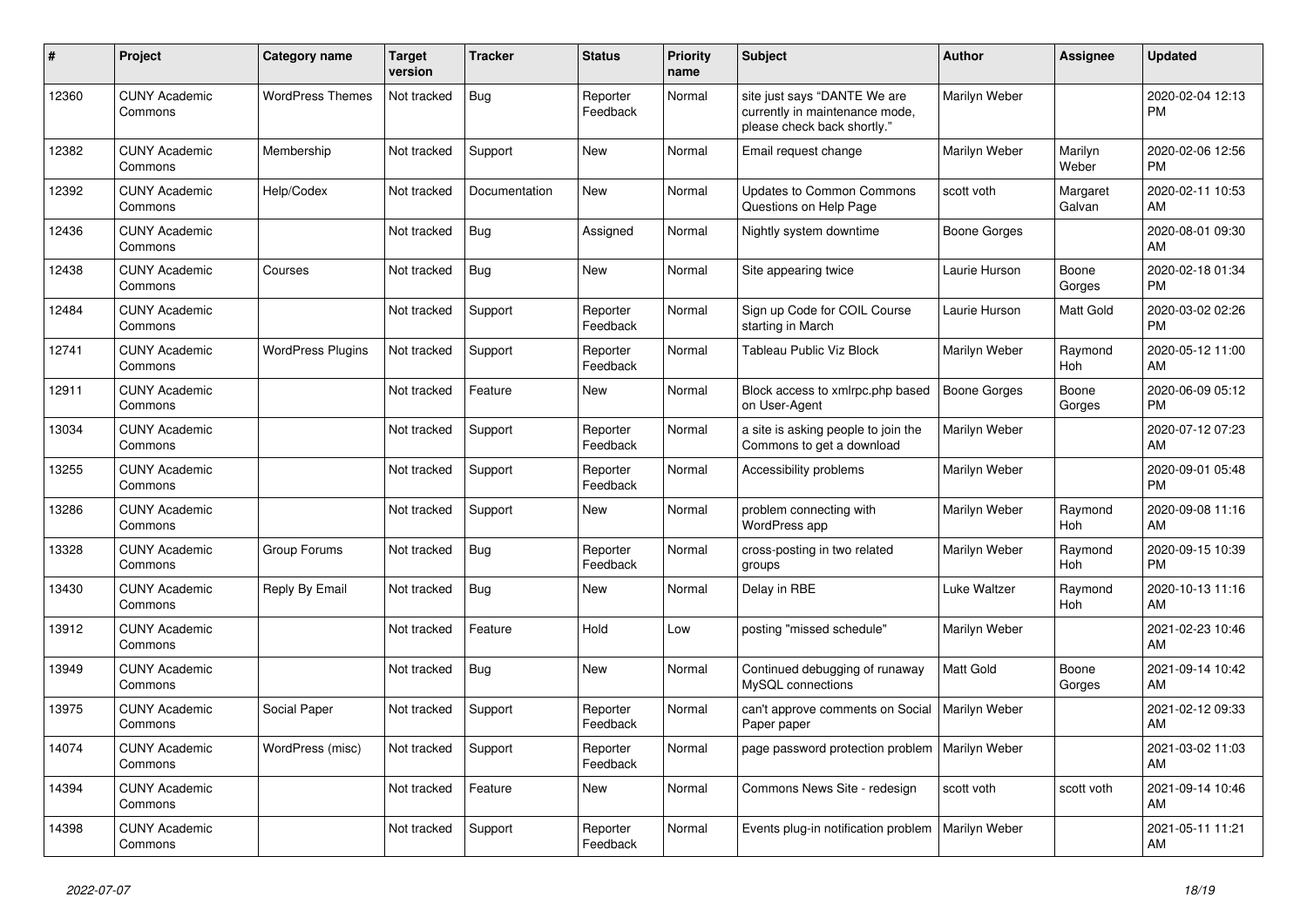| $\vert$ # | <b>Project</b>                  | Category name            | <b>Target</b><br>version | <b>Tracker</b> | <b>Status</b>        | <b>Priority</b><br>name | <b>Subject</b>                                                                                | Author              | Assignee           | <b>Updated</b>                |
|-----------|---------------------------------|--------------------------|--------------------------|----------------|----------------------|-------------------------|-----------------------------------------------------------------------------------------------|---------------------|--------------------|-------------------------------|
| 12360     | <b>CUNY Academic</b><br>Commons | <b>WordPress Themes</b>  | Not tracked              | <b>Bug</b>     | Reporter<br>Feedback | Normal                  | site just says "DANTE We are<br>currently in maintenance mode,<br>please check back shortly." | Marilyn Weber       |                    | 2020-02-04 12:13<br><b>PM</b> |
| 12382     | <b>CUNY Academic</b><br>Commons | Membership               | Not tracked              | Support        | New                  | Normal                  | Email request change                                                                          | Marilyn Weber       | Marilyn<br>Weber   | 2020-02-06 12:56<br><b>PM</b> |
| 12392     | <b>CUNY Academic</b><br>Commons | Help/Codex               | Not tracked              | Documentation  | <b>New</b>           | Normal                  | <b>Updates to Common Commons</b><br>Questions on Help Page                                    | scott voth          | Margaret<br>Galvan | 2020-02-11 10:53<br>AM        |
| 12436     | <b>CUNY Academic</b><br>Commons |                          | Not tracked              | <b>Bug</b>     | Assigned             | Normal                  | Nightly system downtime                                                                       | <b>Boone Gorges</b> |                    | 2020-08-01 09:30<br>AM        |
| 12438     | <b>CUNY Academic</b><br>Commons | Courses                  | Not tracked              | <b>Bug</b>     | New                  | Normal                  | Site appearing twice                                                                          | Laurie Hurson       | Boone<br>Gorges    | 2020-02-18 01:34<br><b>PM</b> |
| 12484     | <b>CUNY Academic</b><br>Commons |                          | Not tracked              | Support        | Reporter<br>Feedback | Normal                  | Sign up Code for COIL Course<br>starting in March                                             | Laurie Hurson       | Matt Gold          | 2020-03-02 02:26<br><b>PM</b> |
| 12741     | <b>CUNY Academic</b><br>Commons | <b>WordPress Plugins</b> | Not tracked              | Support        | Reporter<br>Feedback | Normal                  | Tableau Public Viz Block                                                                      | Marilyn Weber       | Raymond<br>Hoh     | 2020-05-12 11:00<br>AM        |
| 12911     | <b>CUNY Academic</b><br>Commons |                          | Not tracked              | Feature        | New                  | Normal                  | Block access to xmlrpc.php based<br>on User-Agent                                             | Boone Gorges        | Boone<br>Gorges    | 2020-06-09 05:12<br><b>PM</b> |
| 13034     | <b>CUNY Academic</b><br>Commons |                          | Not tracked              | Support        | Reporter<br>Feedback | Normal                  | a site is asking people to join the<br>Commons to get a download                              | Marilyn Weber       |                    | 2020-07-12 07:23<br>AM        |
| 13255     | <b>CUNY Academic</b><br>Commons |                          | Not tracked              | Support        | Reporter<br>Feedback | Normal                  | Accessibility problems                                                                        | Marilyn Weber       |                    | 2020-09-01 05:48<br><b>PM</b> |
| 13286     | <b>CUNY Academic</b><br>Commons |                          | Not tracked              | Support        | New                  | Normal                  | problem connecting with<br>WordPress app                                                      | Marilyn Weber       | Raymond<br>Hoh     | 2020-09-08 11:16<br>AM        |
| 13328     | <b>CUNY Academic</b><br>Commons | Group Forums             | Not tracked              | Bug            | Reporter<br>Feedback | Normal                  | cross-posting in two related<br>groups                                                        | Marilyn Weber       | Raymond<br>Hoh     | 2020-09-15 10:39<br><b>PM</b> |
| 13430     | <b>CUNY Academic</b><br>Commons | Reply By Email           | Not tracked              | Bug            | New                  | Normal                  | Delay in RBE                                                                                  | Luke Waltzer        | Raymond<br>Hoh     | 2020-10-13 11:16<br>AM        |
| 13912     | <b>CUNY Academic</b><br>Commons |                          | Not tracked              | Feature        | Hold                 | Low                     | posting "missed schedule"                                                                     | Marilyn Weber       |                    | 2021-02-23 10:46<br>AM        |
| 13949     | <b>CUNY Academic</b><br>Commons |                          | Not tracked              | Bug            | New                  | Normal                  | Continued debugging of runaway<br>MySQL connections                                           | <b>Matt Gold</b>    | Boone<br>Gorges    | 2021-09-14 10:42<br>AM        |
| 13975     | <b>CUNY Academic</b><br>Commons | Social Paper             | Not tracked              | Support        | Reporter<br>Feedback | Normal                  | can't approve comments on Social<br>Paper paper                                               | Marilyn Weber       |                    | 2021-02-12 09:33<br>AM        |
| 14074     | <b>CUNY Academic</b><br>Commons | WordPress (misc)         | Not tracked              | Support        | Reporter<br>Feedback | Normal                  | page password protection problem   Marilyn Weber                                              |                     |                    | 2021-03-02 11:03<br>AM        |
| 14394     | <b>CUNY Academic</b><br>Commons |                          | Not tracked              | Feature        | New                  | Normal                  | Commons News Site - redesign                                                                  | scott voth          | scott voth         | 2021-09-14 10:46<br>AM        |
| 14398     | <b>CUNY Academic</b><br>Commons |                          | Not tracked              | Support        | Reporter<br>Feedback | Normal                  | Events plug-in notification problem                                                           | Marilyn Weber       |                    | 2021-05-11 11:21<br>AM        |